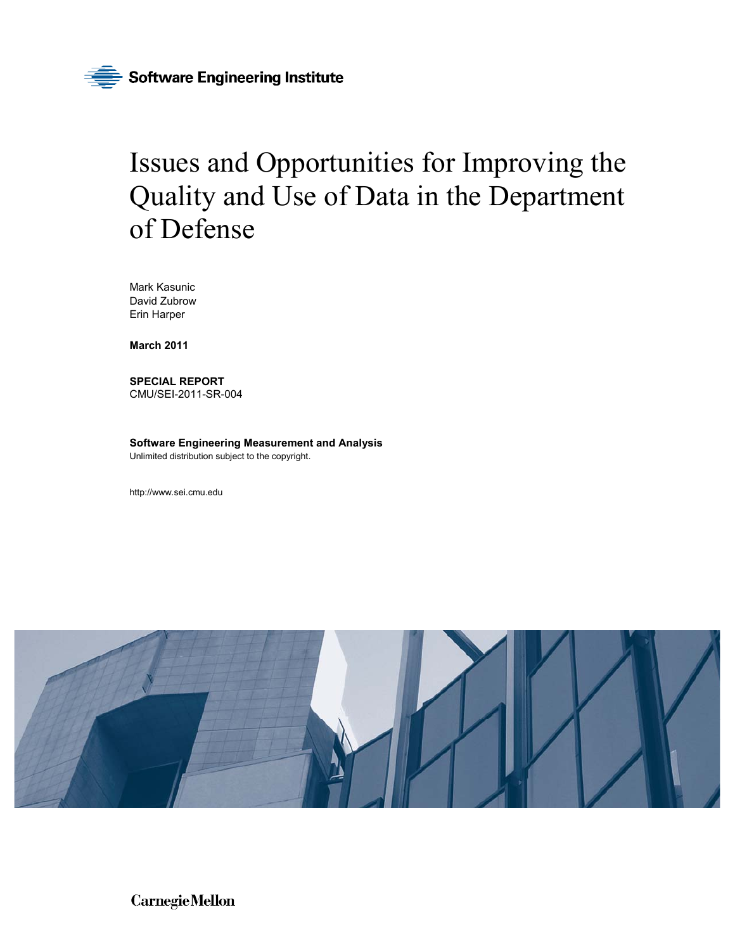# Issues and Opportunities for Improving the Quality and Use of Data in the Department of Defense

Mark Kasunic David Zubrow Erin Harper

**March 2011** 

**SPECIAL REPORT**  CMU/SEI-2011-SR-004

**Software Engineering Measurement and Analysis**  Unlimited distribution subject to the copyright.

<http://www.sei.cmu.edu>



**CarnegieMellon**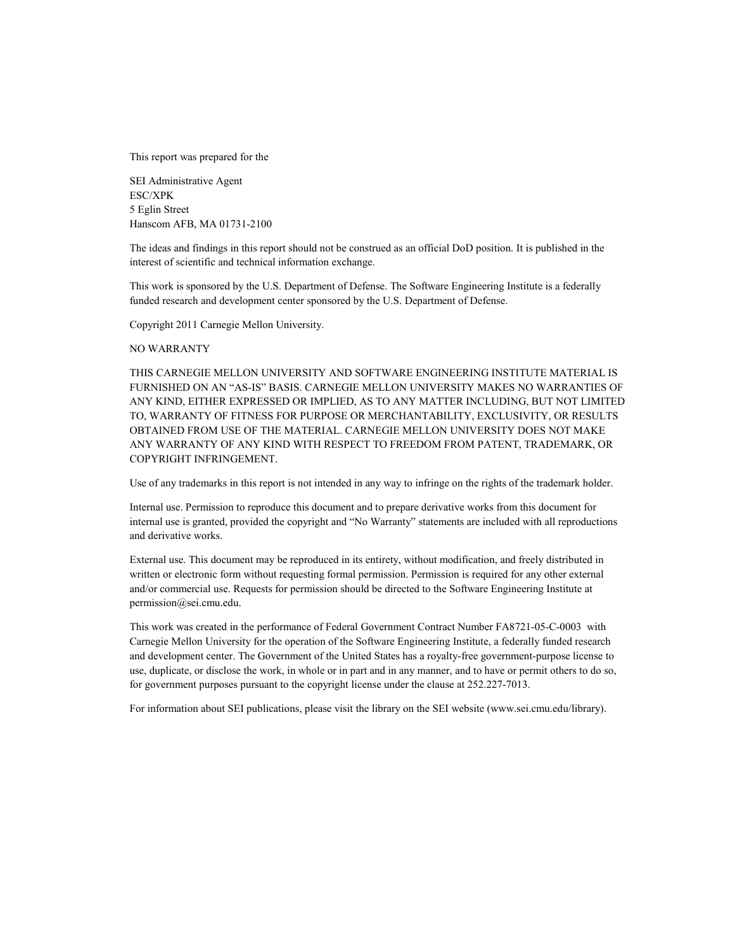This report was prepared for the

SEI Administrative Agent ESC/XPK 5 Eglin Street Hanscom AFB, MA 01731-2100

The ideas and findings in this report should not be construed as an official DoD position. It is published in the interest of scientific and technical information exchange.

This work is sponsored by the U.S. Department of Defense. The Software Engineering Institute is a federally funded research and development center sponsored by the U.S. Department of Defense.

Copyright 2011 Carnegie Mellon University.

#### NO WARRANTY

THIS CARNEGIE MELLON UNIVERSITY AND SOFTWARE ENGINEERING INSTITUTE MATERIAL IS FURNISHED ON AN "AS-IS" BASIS. CARNEGIE MELLON UNIVERSITY MAKES NO WARRANTIES OF ANY KIND, EITHER EXPRESSED OR IMPLIED, AS TO ANY MATTER INCLUDING, BUT NOT LIMITED TO, WARRANTY OF FITNESS FOR PURPOSE OR MERCHANTABILITY, EXCLUSIVITY, OR RESULTS OBTAINED FROM USE OF THE MATERIAL. CARNEGIE MELLON UNIVERSITY DOES NOT MAKE ANY WARRANTY OF ANY KIND WITH RESPECT TO FREEDOM FROM PATENT, TRADEMARK, OR COPYRIGHT INFRINGEMENT.

Use of any trademarks in this report is not intended in any way to infringe on the rights of the trademark holder.

Internal use. Permission to reproduce this document and to prepare derivative works from this document for internal use is granted, provided the copyright and "No Warranty" statements are included with all reproductions and derivative works.

External use. This document may be reproduced in its entirety, without modification, and freely distributed in written or electronic form without requesting formal permission. Permission is required for any other external and/or commercial use. Requests for permission should be directed to the Software Engineering Institute at [permission@sei.cmu.edu.](mailto:permission@sei.cmu.edu)

This work was created in the performance of Federal Government Contract Number FA8721-05-C-0003 with Carnegie Mellon University for the operation of the Software Engineering Institute, a federally funded research and development center. The Government of the United States has a royalty-free government-purpose license to use, duplicate, or disclose the work, in whole or in part and in any manner, and to have or permit others to do so, for government purposes pursuant to the copyright license under the clause at 252.227-7013.

For information about SEI publications, please visit the library on the SEI website ([www.sei.cmu.edu/library\).](http://www.sei.cmu.edu/library)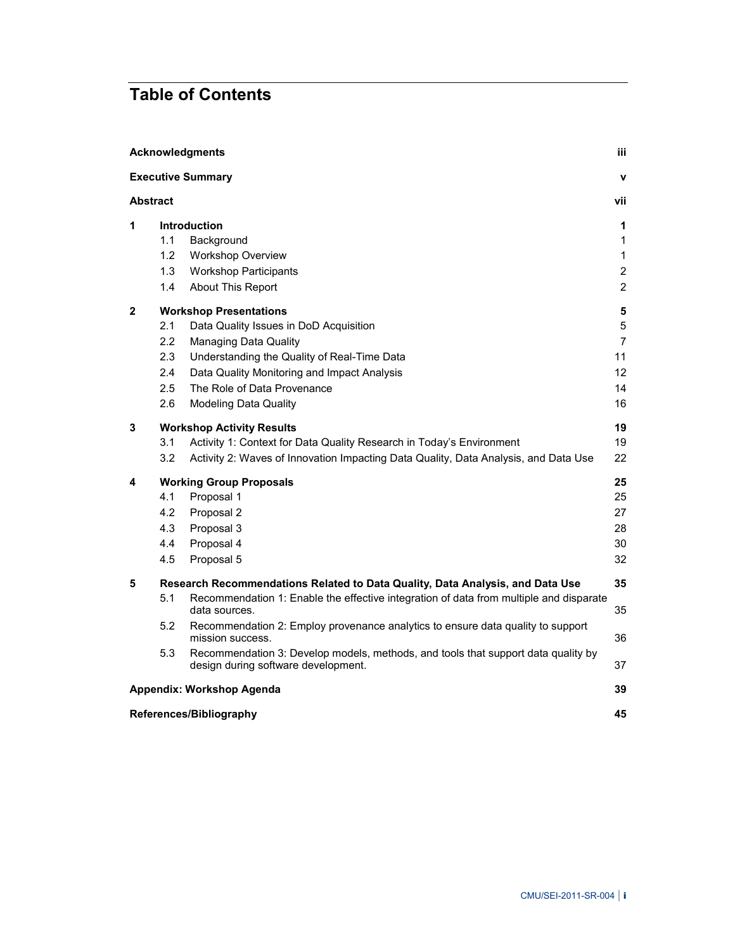# **Table of Contents**

|                 |                                        | <b>Acknowledgments</b>                                                                                                                                                                                                                                                                                                                                                                                                      | iii                                                        |
|-----------------|----------------------------------------|-----------------------------------------------------------------------------------------------------------------------------------------------------------------------------------------------------------------------------------------------------------------------------------------------------------------------------------------------------------------------------------------------------------------------------|------------------------------------------------------------|
|                 |                                        | <b>Executive Summary</b>                                                                                                                                                                                                                                                                                                                                                                                                    | v                                                          |
| <b>Abstract</b> |                                        |                                                                                                                                                                                                                                                                                                                                                                                                                             | vii                                                        |
| 1               | 1.1<br>1.2<br>1.3<br>1.4               | <b>Introduction</b><br>Background<br><b>Workshop Overview</b><br><b>Workshop Participants</b><br>About This Report                                                                                                                                                                                                                                                                                                          | 1<br>1<br>$\mathbf{1}$<br>$\overline{2}$<br>$\overline{2}$ |
| $\mathbf{2}$    | 2.1<br>2.2<br>2.3<br>2.4<br>2.5<br>2.6 | <b>Workshop Presentations</b><br>Data Quality Issues in DoD Acquisition<br><b>Managing Data Quality</b><br>Understanding the Quality of Real-Time Data<br>Data Quality Monitoring and Impact Analysis<br>The Role of Data Provenance<br><b>Modeling Data Quality</b>                                                                                                                                                        | 5<br>5<br>$\overline{7}$<br>11<br>12<br>14<br>16           |
| 3               | 3.1<br>3.2                             | <b>Workshop Activity Results</b><br>Activity 1: Context for Data Quality Research in Today's Environment<br>Activity 2: Waves of Innovation Impacting Data Quality, Data Analysis, and Data Use                                                                                                                                                                                                                             | 19<br>19<br>22                                             |
| 4               | 4.1<br>4.2<br>4.3<br>4.4<br>4.5        | <b>Working Group Proposals</b><br>Proposal 1<br>Proposal 2<br>Proposal 3<br>Proposal 4<br>Proposal 5                                                                                                                                                                                                                                                                                                                        | 25<br>25<br>27<br>28<br>30<br>32                           |
| 5               | 5.1<br>5.2<br>5.3                      | Research Recommendations Related to Data Quality, Data Analysis, and Data Use<br>Recommendation 1: Enable the effective integration of data from multiple and disparate<br>data sources.<br>Recommendation 2: Employ provenance analytics to ensure data quality to support<br>mission success.<br>Recommendation 3: Develop models, methods, and tools that support data quality by<br>design during software development. | 35<br>35<br>36<br>37                                       |
|                 |                                        | Appendix: Workshop Agenda                                                                                                                                                                                                                                                                                                                                                                                                   | 39                                                         |
|                 |                                        | References/Bibliography                                                                                                                                                                                                                                                                                                                                                                                                     | 45                                                         |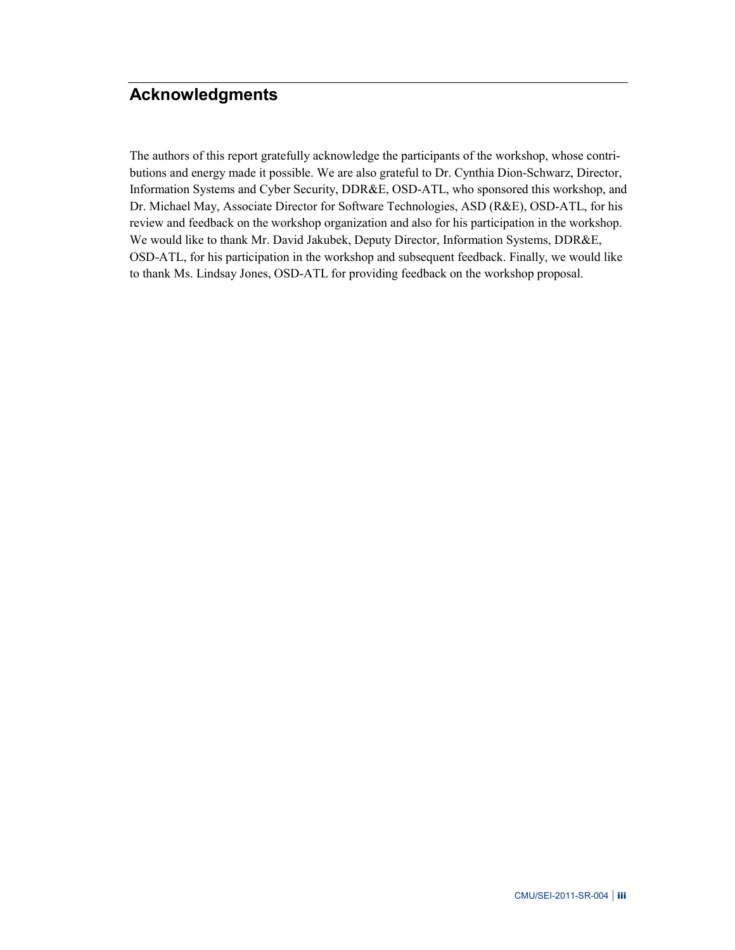# **Acknowledgments**

The authors of this report gratefully acknowledge the participants of the workshop, whose contributions and energy made it possible. We are also grateful to Dr. Cynthia Dion-Schwarz, Director, Information Systems and Cyber Security, DDR&E, OSD-ATL, who sponsored this workshop, and Dr. Michael May, Associate Director for Software Technologies, ASD (R&E), OSD-ATL, for his review and feedback on the workshop organization and also for his participation in the workshop. We would like to thank Mr. David Jakubek, Deputy Director, Information Systems, DDR&E, OSD-ATL, for his participation in the workshop and subsequent feedback. Finally, we would like to thank Ms. Lindsay Jones, OSD-ATL for providing feedback on the workshop proposal.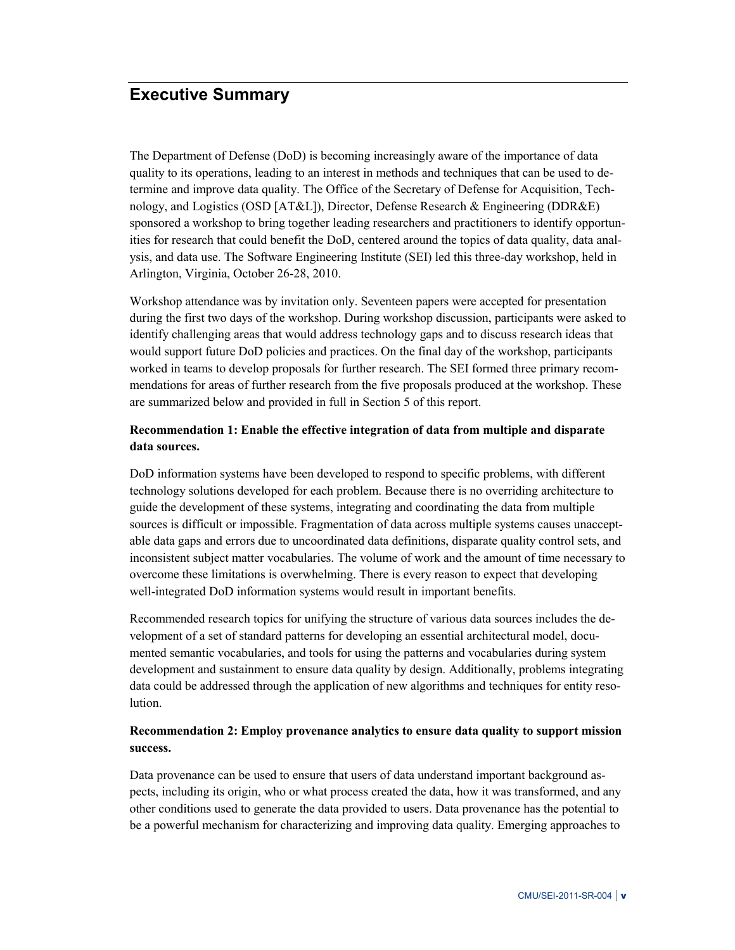# **Executive Summary**

The Department of Defense (DoD) is becoming increasingly aware of the importance of data quality to its operations, leading to an interest in methods and techniques that can be used to determine and improve data quality. The Office of the Secretary of Defense for Acquisition, Technology, and Logistics (OSD [AT&L]), Director, Defense Research & Engineering (DDR&E) sponsored a workshop to bring together leading researchers and practitioners to identify opportunities for research that could benefit the DoD, centered around the topics of data quality, data analysis, and data use. The Software Engineering Institute (SEI) led this three-day workshop, held in Arlington, Virginia, October 26-28, 2010.

Workshop attendance was by invitation only. Seventeen papers were accepted for presentation during the first two days of the workshop. During workshop discussion, participants were asked to identify challenging areas that would address technology gaps and to discuss research ideas that would support future DoD policies and practices. On the final day of the workshop, participants worked in teams to develop proposals for further research. The SEI formed three primary recommendations for areas of further research from the five proposals produced at the workshop. These are summarized below and provided in full in Section 5 of this report.

# **Recommendation 1: Enable the effective integration of data from multiple and disparate data sources.**

DoD information systems have been developed to respond to specific problems, with different technology solutions developed for each problem. Because there is no overriding architecture to guide the development of these systems, integrating and coordinating the data from multiple sources is difficult or impossible. Fragmentation of data across multiple systems causes unacceptable data gaps and errors due to uncoordinated data definitions, disparate quality control sets, and inconsistent subject matter vocabularies. The volume of work and the amount of time necessary to overcome these limitations is overwhelming. There is every reason to expect that developing well-integrated DoD information systems would result in important benefits.

Recommended research topics for unifying the structure of various data sources includes the development of a set of standard patterns for developing an essential architectural model, documented semantic vocabularies, and tools for using the patterns and vocabularies during system development and sustainment to ensure data quality by design. Additionally, problems integrating data could be addressed through the application of new algorithms and techniques for entity resolution.

# **Recommendation 2: Employ provenance analytics to ensure data quality to support mission success.**

Data provenance can be used to ensure that users of data understand important background aspects, including its origin, who or what process created the data, how it was transformed, and any other conditions used to generate the data provided to users. Data provenance has the potential to be a powerful mechanism for characterizing and improving data quality. Emerging approaches to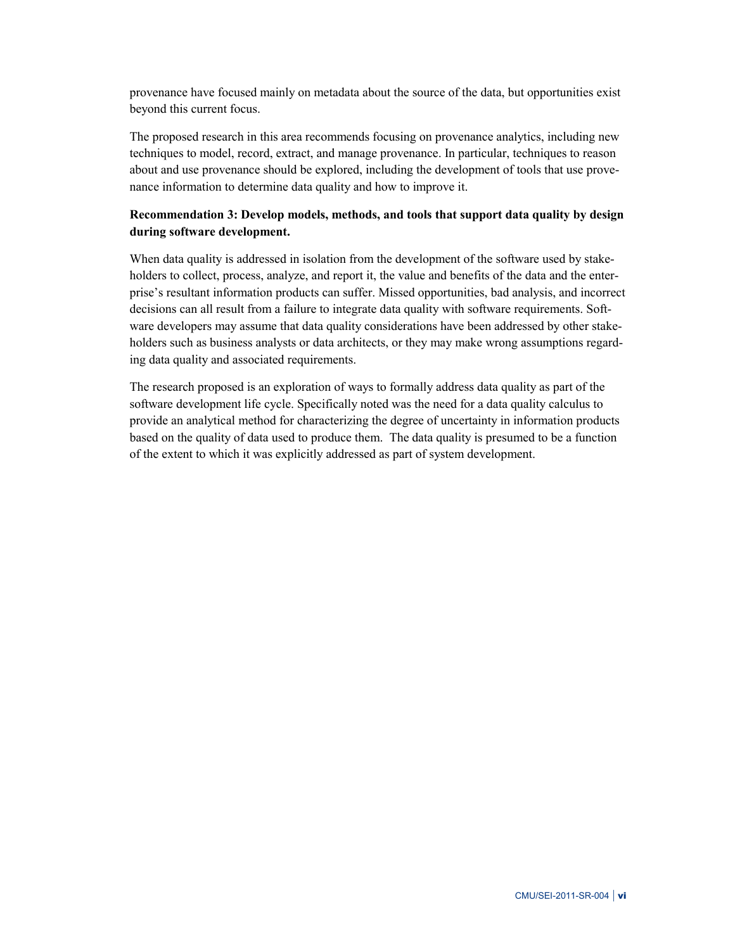provenance have focused mainly on metadata about the source of the data, but opportunities exist beyond this current focus.

The proposed research in this area recommends focusing on provenance analytics, including new techniques to model, record, extract, and manage provenance. In particular, techniques to reason about and use provenance should be explored, including the development of tools that use provenance information to determine data quality and how to improve it.

# **Recommendation 3: Develop models, methods, and tools that support data quality by design during software development.**

When data quality is addressed in isolation from the development of the software used by stakeholders to collect, process, analyze, and report it, the value and benefits of the data and the enterprise's resultant information products can suffer. Missed opportunities, bad analysis, and incorrect decisions can all result from a failure to integrate data quality with software requirements. Software developers may assume that data quality considerations have been addressed by other stakeholders such as business analysts or data architects, or they may make wrong assumptions regarding data quality and associated requirements.

The research proposed is an exploration of ways to formally address data quality as part of the software development life cycle. Specifically noted was the need for a data quality calculus to provide an analytical method for characterizing the degree of uncertainty in information products based on the quality of data used to produce them. The data quality is presumed to be a function of the extent to which it was explicitly addressed as part of system development.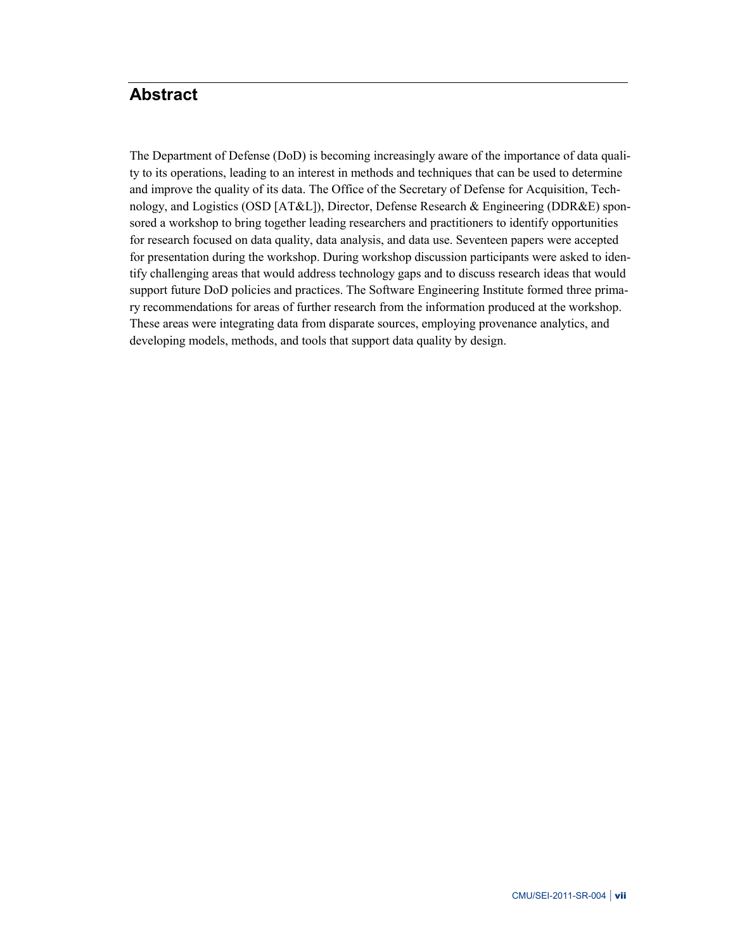# **Abstract**

The Department of Defense (DoD) is becoming increasingly aware of the importance of data quality to its operations, leading to an interest in methods and techniques that can be used to determine and improve the quality of its data. The Office of the Secretary of Defense for Acquisition, Technology, and Logistics (OSD [AT&L]), Director, Defense Research & Engineering (DDR&E) sponsored a workshop to bring together leading researchers and practitioners to identify opportunities for research focused on data quality, data analysis, and data use. Seventeen papers were accepted for presentation during the workshop. During workshop discussion participants were asked to identify challenging areas that would address technology gaps and to discuss research ideas that would support future DoD policies and practices. The Software Engineering Institute formed three primary recommendations for areas of further research from the information produced at the workshop. These areas were integrating data from disparate sources, employing provenance analytics, and developing models, methods, and tools that support data quality by design.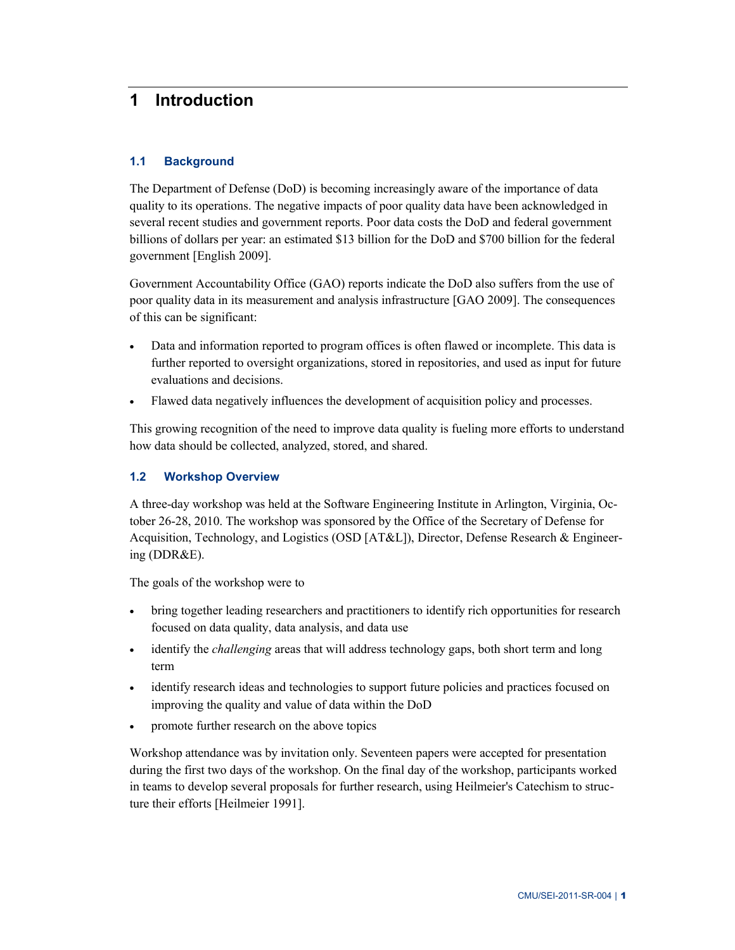# **1 Introduction**

# **1.1 Background**

The Department of Defense (DoD) is becoming increasingly aware of the importance of data quality to its operations. The negative impacts of poor quality data have been acknowledged in several recent studies and government reports. Poor data costs the DoD and federal government billions of dollars per year: an estimated \$13 billion for the DoD and \$700 billion for the federal government [English 2009].

Government Accountability Office (GAO) reports indicate the DoD also suffers from the use of poor quality data in its measurement and analysis infrastructure [GAO 2009]. The consequences of this can be significant:

- Data and information reported to program offices is often flawed or incomplete. This data is further reported to oversight organizations, stored in repositories, and used as input for future evaluations and decisions.
- Flawed data negatively influences the development of acquisition policy and processes.

This growing recognition of the need to improve data quality is fueling more efforts to understand how data should be collected, analyzed, stored, and shared.

# **1.2 Workshop Overview**

A three-day workshop was held at the Software Engineering Institute in Arlington, Virginia, October 26-28, 2010. The workshop was sponsored by the Office of the Secretary of Defense for Acquisition, Technology, and Logistics (OSD [AT&L]), Director, Defense Research & Engineering (DDR&E).

The goals of the workshop were to

- bring together leading researchers and practitioners to identify rich opportunities for research focused on data quality, data analysis, and data use
- identify the *challenging* areas that will address technology gaps, both short term and long term
- identify research ideas and technologies to support future policies and practices focused on improving the quality and value of data within the DoD
- promote further research on the above topics

Workshop attendance was by invitation only. Seventeen papers were accepted for presentation during the first two days of the workshop. On the final day of the workshop, participants worked in teams to develop several proposals for further research, using Heilmeier's Catechism to structure their efforts [Heilmeier 1991].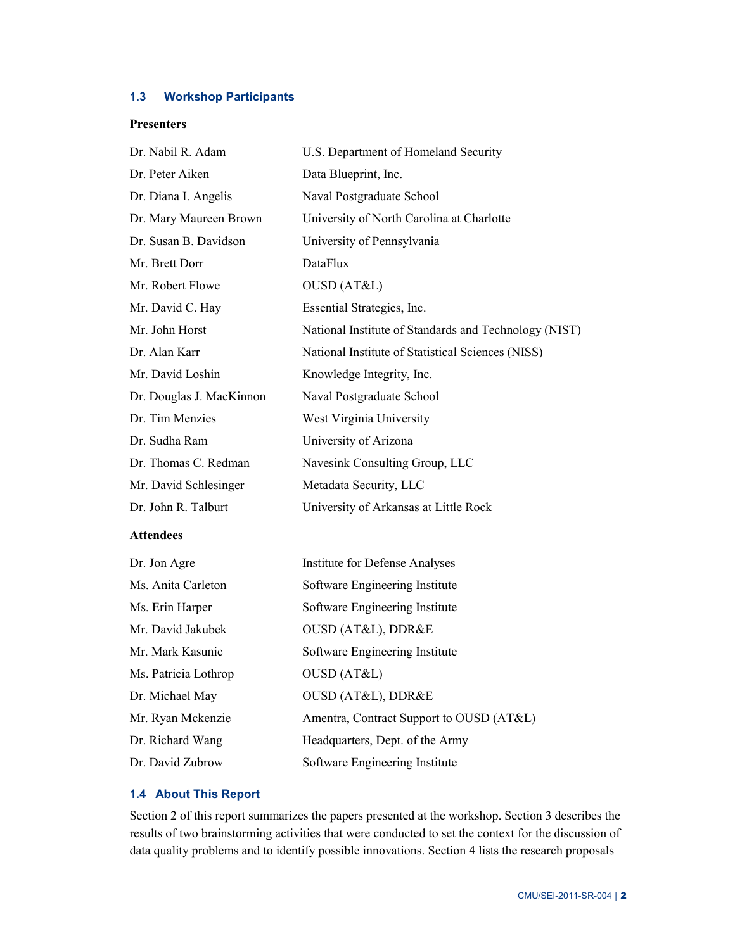### **1.3 Workshop Participants**

#### **Presenters**

| Dr. Nabil R. Adam        | U.S. Department of Homeland Security                  |
|--------------------------|-------------------------------------------------------|
| Dr. Peter Aiken          | Data Blueprint, Inc.                                  |
| Dr. Diana I. Angelis     | Naval Postgraduate School                             |
| Dr. Mary Maureen Brown   | University of North Carolina at Charlotte             |
| Dr. Susan B. Davidson    | University of Pennsylvania                            |
| Mr. Brett Dorr           | DataFlux                                              |
| Mr. Robert Flowe         | OUSD (AT&L)                                           |
| Mr. David C. Hay         | Essential Strategies, Inc.                            |
| Mr. John Horst           | National Institute of Standards and Technology (NIST) |
| Dr. Alan Karr            | National Institute of Statistical Sciences (NISS)     |
| Mr. David Loshin         | Knowledge Integrity, Inc.                             |
| Dr. Douglas J. MacKinnon | Naval Postgraduate School                             |
| Dr. Tim Menzies          | West Virginia University                              |
| Dr. Sudha Ram            | University of Arizona                                 |
| Dr. Thomas C. Redman     | Navesink Consulting Group, LLC                        |
| Mr. David Schlesinger    | Metadata Security, LLC                                |
| Dr. John R. Talburt      | University of Arkansas at Little Rock                 |

# **Attendees**

| Dr. Jon Agre         | <b>Institute for Defense Analyses</b>    |  |  |
|----------------------|------------------------------------------|--|--|
| Ms. Anita Carleton   | Software Engineering Institute           |  |  |
| Ms. Erin Harper      | Software Engineering Institute           |  |  |
| Mr. David Jakubek    | OUSD (AT&L), DDR&E                       |  |  |
| Mr. Mark Kasunic     | Software Engineering Institute           |  |  |
| Ms. Patricia Lothrop | OUSD (AT&L)                              |  |  |
| Dr. Michael May      | OUSD (AT&L), DDR&E                       |  |  |
| Mr. Ryan Mckenzie    | Amentra, Contract Support to OUSD (AT&L) |  |  |
| Dr. Richard Wang     | Headquarters, Dept. of the Army          |  |  |
| Dr. David Zubrow     | Software Engineering Institute           |  |  |

#### **1.4 About This Report**

Section 2 of this report summarizes the papers presented at the workshop. Section 3 describes the results of two brainstorming activities that were conducted to set the context for the discussion of data quality problems and to identify possible innovations. Section 4 lists the research proposals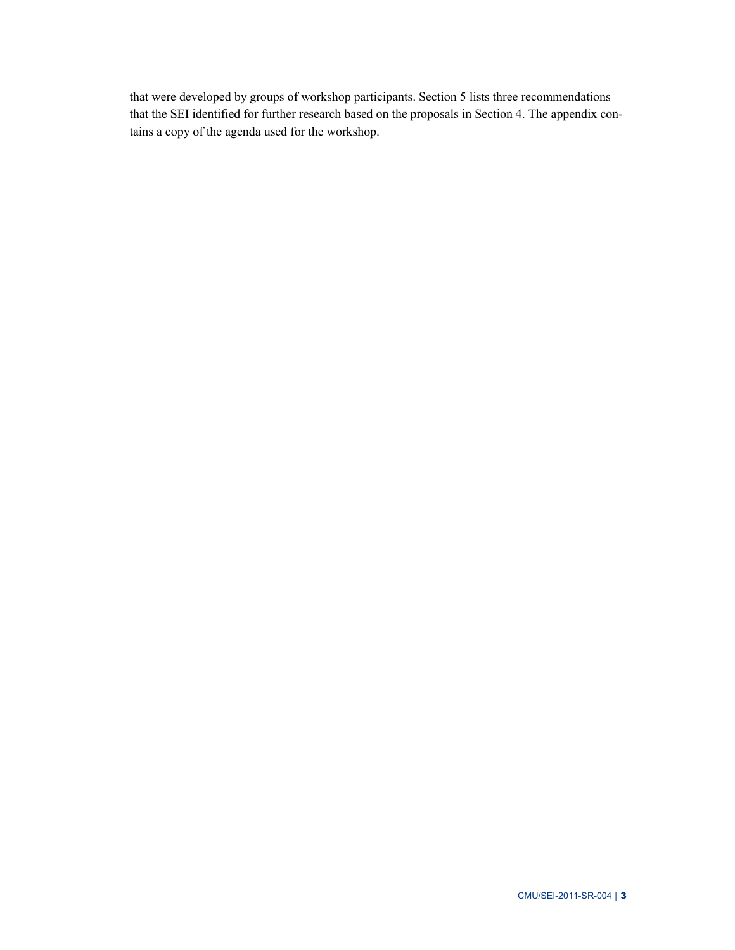that were developed by groups of workshop participants. Section 5 lists three recommendations that the SEI identified for further research based on the proposals in Section 4. The appendix contains a copy of the agenda used for the workshop.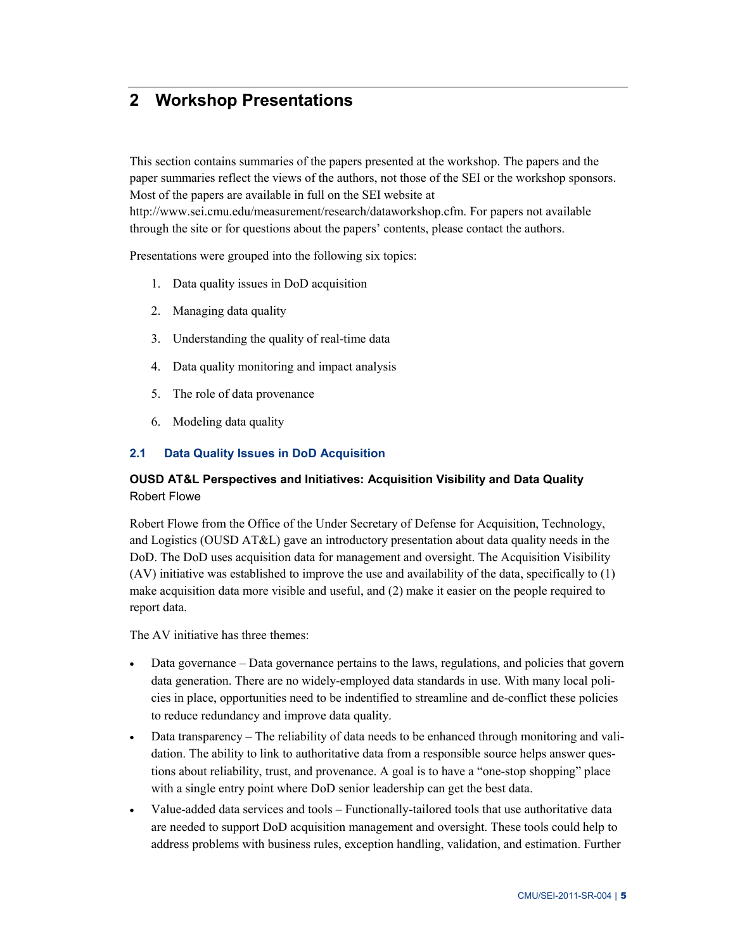# **2 Workshop Presentations**

This section contains summaries of the papers presented at the workshop. The papers and the paper summaries reflect the views of the authors, not those of the SEI or the workshop sponsors. Most of the papers are available in full on the SEI website at

[http://www.sei.cmu.edu/measurement/research/dataworkshop.cfm.](http://www.sei.cmu.edu/measurement/research/dataworkshop.cfm) For papers not available through the site or for questions about the papers' contents, please contact the authors.

Presentations were grouped into the following six topics:

- 1. Data quality issues in DoD acquisition
- 2. Managing data quality
- 3. Understanding the quality of real-time data
- 4. Data quality monitoring and impact analysis
- 5. The role of data provenance
- 6. Modeling data quality

# **2.1 Data Quality Issues in DoD Acquisition**

# **OUSD AT&L Perspectives and Initiatives: Acquisition Visibility and Data Quality**  Robert Flowe

Robert Flowe from the Office of the Under Secretary of Defense for Acquisition, Technology, and Logistics (OUSD AT&L) gave an introductory presentation about data quality needs in the DoD. The DoD uses acquisition data for management and oversight. The Acquisition Visibility (AV) initiative was established to improve the use and availability of the data, specifically to (1) make acquisition data more visible and useful, and (2) make it easier on the people required to report data.

The AV initiative has three themes:

- Data governance Data governance pertains to the laws, regulations, and policies that govern data generation. There are no widely-employed data standards in use. With many local policies in place, opportunities need to be indentified to streamline and de-conflict these policies to reduce redundancy and improve data quality.
- Data transparency The reliability of data needs to be enhanced through monitoring and validation. The ability to link to authoritative data from a responsible source helps answer questions about reliability, trust, and provenance. A goal is to have a "one-stop shopping" place with a single entry point where DoD senior leadership can get the best data.
- Value-added data services and tools Functionally-tailored tools that use authoritative data are needed to support DoD acquisition management and oversight. These tools could help to address problems with business rules, exception handling, validation, and estimation. Further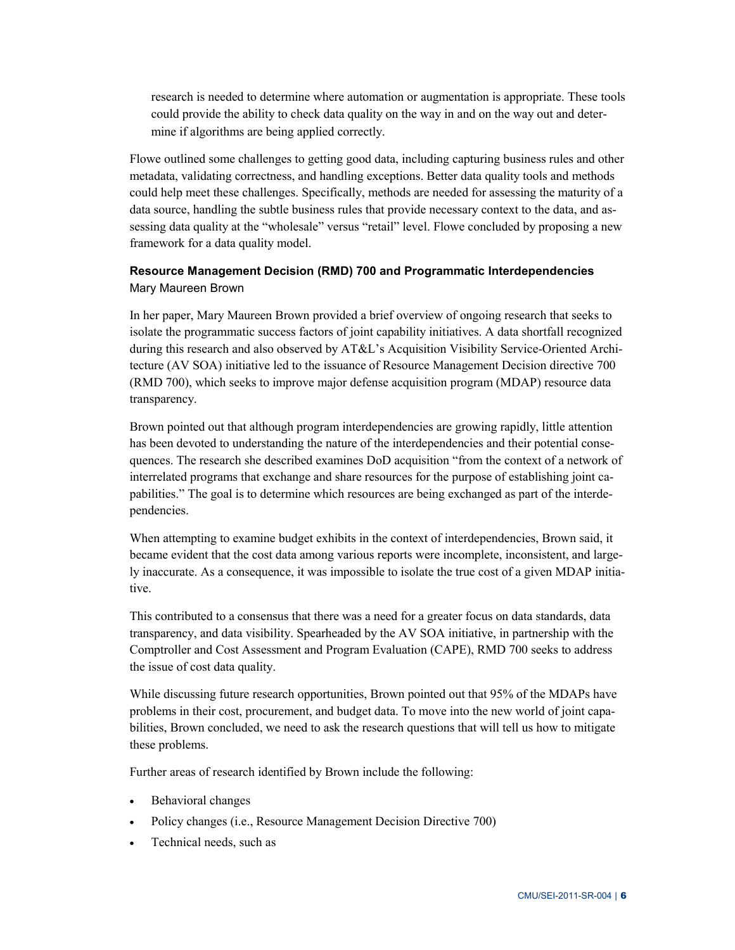research is needed to determine where automation or augmentation is appropriate. These tools could provide the ability to check data quality on the way in and on the way out and determine if algorithms are being applied correctly.

Flowe outlined some challenges to getting good data, including capturing business rules and other metadata, validating correctness, and handling exceptions. Better data quality tools and methods could help meet these challenges. Specifically, methods are needed for assessing the maturity of a data source, handling the subtle business rules that provide necessary context to the data, and assessing data quality at the "wholesale" versus "retail" level. Flowe concluded by proposing a new framework for a data quality model.

# **Resource Management Decision (RMD) 700 and Programmatic Interdependencies**  Mary Maureen Brown

In her paper, Mary Maureen Brown provided a brief overview of ongoing research that seeks to isolate the programmatic success factors of joint capability initiatives. A data shortfall recognized during this research and also observed by AT&L's Acquisition Visibility Service-Oriented Architecture (AV SOA) initiative led to the issuance of Resource Management Decision directive 700 (RMD 700), which seeks to improve major defense acquisition program (MDAP) resource data transparency.

Brown pointed out that although program interdependencies are growing rapidly, little attention has been devoted to understanding the nature of the interdependencies and their potential consequences. The research she described examines DoD acquisition "from the context of a network of interrelated programs that exchange and share resources for the purpose of establishing joint capabilities." The goal is to determine which resources are being exchanged as part of the interdependencies.

When attempting to examine budget exhibits in the context of interdependencies, Brown said, it became evident that the cost data among various reports were incomplete, inconsistent, and largely inaccurate. As a consequence, it was impossible to isolate the true cost of a given MDAP initiative.

This contributed to a consensus that there was a need for a greater focus on data standards, data transparency, and data visibility. Spearheaded by the AV SOA initiative, in partnership with the Comptroller and Cost Assessment and Program Evaluation (CAPE), RMD 700 seeks to address the issue of cost data quality.

While discussing future research opportunities, Brown pointed out that 95% of the MDAPs have problems in their cost, procurement, and budget data. To move into the new world of joint capabilities, Brown concluded, we need to ask the research questions that will tell us how to mitigate these problems.

Further areas of research identified by Brown include the following:

- Behavioral changes
- Policy changes (i.e., Resource Management Decision Directive 700)
- Technical needs, such as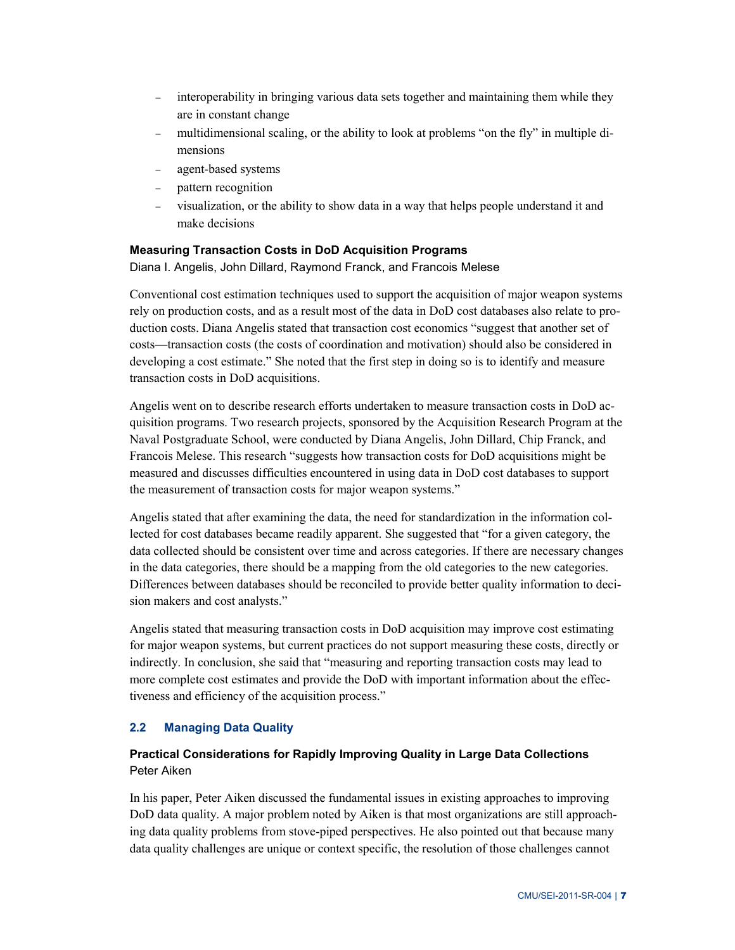- − interoperability in bringing various data sets together and maintaining them while they are in constant change
- − multidimensional scaling, or the ability to look at problems "on the fly" in multiple dimensions
- agent-based systems
- pattern recognition
- − visualization, or the ability to show data in a way that helps people understand it and make decisions

#### **Measuring Transaction Costs in DoD Acquisition Programs**

Diana I. Angelis, John Dillard, Raymond Franck, and Francois Melese

Conventional cost estimation techniques used to support the acquisition of major weapon systems rely on production costs, and as a result most of the data in DoD cost databases also relate to production costs. Diana Angelis stated that transaction cost economics "suggest that another set of costs—transaction costs (the costs of coordination and motivation) should also be considered in developing a cost estimate." She noted that the first step in doing so is to identify and measure transaction costs in DoD acquisitions.

Angelis went on to describe research efforts undertaken to measure transaction costs in DoD acquisition programs. Two research projects, sponsored by the Acquisition Research Program at the Naval Postgraduate School, were conducted by Diana Angelis, John Dillard, Chip Franck, and Francois Melese. This research "suggests how transaction costs for DoD acquisitions might be measured and discusses difficulties encountered in using data in DoD cost databases to support the measurement of transaction costs for major weapon systems."

Angelis stated that after examining the data, the need for standardization in the information collected for cost databases became readily apparent. She suggested that "for a given category, the data collected should be consistent over time and across categories. If there are necessary changes in the data categories, there should be a mapping from the old categories to the new categories. Differences between databases should be reconciled to provide better quality information to decision makers and cost analysts."

Angelis stated that measuring transaction costs in DoD acquisition may improve cost estimating for major weapon systems, but current practices do not support measuring these costs, directly or indirectly. In conclusion, she said that "measuring and reporting transaction costs may lead to more complete cost estimates and provide the DoD with important information about the effectiveness and efficiency of the acquisition process."

# **2.2 Managing Data Quality**

# **Practical Considerations for Rapidly Improving Quality in Large Data Collections**  Peter Aiken

In his paper, Peter Aiken discussed the fundamental issues in existing approaches to improving DoD data quality. A major problem noted by Aiken is that most organizations are still approaching data quality problems from stove-piped perspectives. He also pointed out that because many data quality challenges are unique or context specific, the resolution of those challenges cannot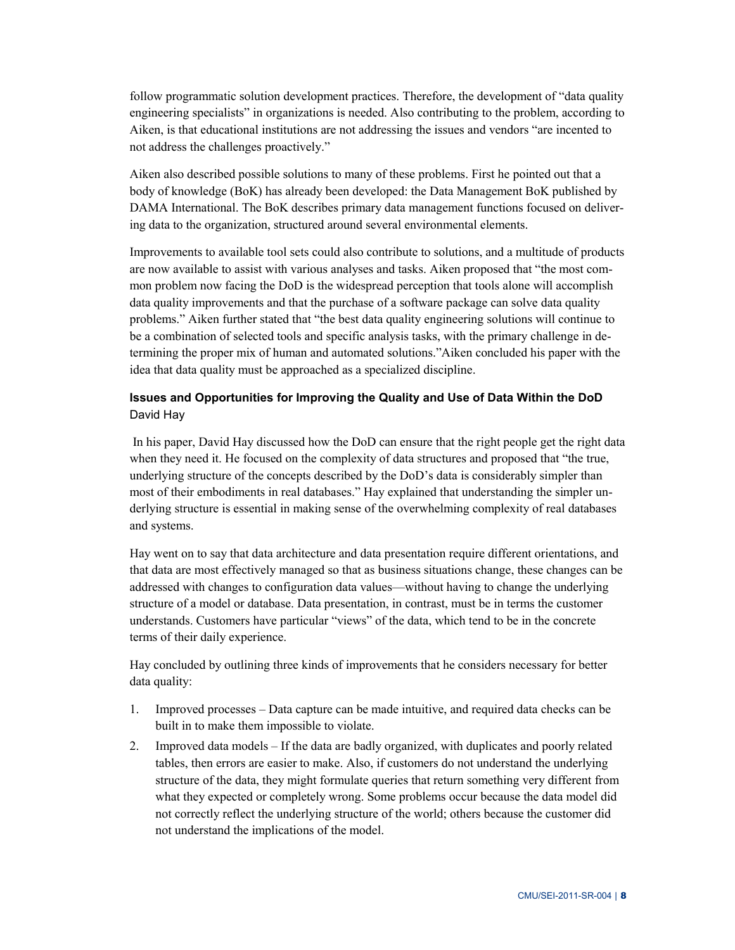follow programmatic solution development practices. Therefore, the development of "data quality engineering specialists" in organizations is needed. Also contributing to the problem, according to Aiken, is that educational institutions are not addressing the issues and vendors "are incented to not address the challenges proactively."

Aiken also described possible solutions to many of these problems. First he pointed out that a body of knowledge (BoK) has already been developed: the Data Management BoK published by DAMA International. The BoK describes primary data management functions focused on delivering data to the organization, structured around several environmental elements.

Improvements to available tool sets could also contribute to solutions, and a multitude of products are now available to assist with various analyses and tasks. Aiken proposed that "the most common problem now facing the DoD is the widespread perception that tools alone will accomplish data quality improvements and that the purchase of a software package can solve data quality problems." Aiken further stated that "the best data quality engineering solutions will continue to be a combination of selected tools and specific analysis tasks, with the primary challenge in determining the proper mix of human and automated solutions."Aiken concluded his paper with the idea that data quality must be approached as a specialized discipline.

# **Issues and Opportunities for Improving the Quality and Use of Data Within the DoD**  David Hay

 In his paper, David Hay discussed how the DoD can ensure that the right people get the right data when they need it. He focused on the complexity of data structures and proposed that "the true, underlying structure of the concepts described by the DoD's data is considerably simpler than most of their embodiments in real databases." Hay explained that understanding the simpler underlying structure is essential in making sense of the overwhelming complexity of real databases and systems.

Hay went on to say that data architecture and data presentation require different orientations, and that data are most effectively managed so that as business situations change, these changes can be addressed with changes to configuration data values—without having to change the underlying structure of a model or database. Data presentation, in contrast, must be in terms the customer understands. Customers have particular "views" of the data, which tend to be in the concrete terms of their daily experience.

Hay concluded by outlining three kinds of improvements that he considers necessary for better data quality:

- 1. Improved processes Data capture can be made intuitive, and required data checks can be built in to make them impossible to violate.
- 2. Improved data models If the data are badly organized, with duplicates and poorly related tables, then errors are easier to make. Also, if customers do not understand the underlying structure of the data, they might formulate queries that return something very different from what they expected or completely wrong. Some problems occur because the data model did not correctly reflect the underlying structure of the world; others because the customer did not understand the implications of the model.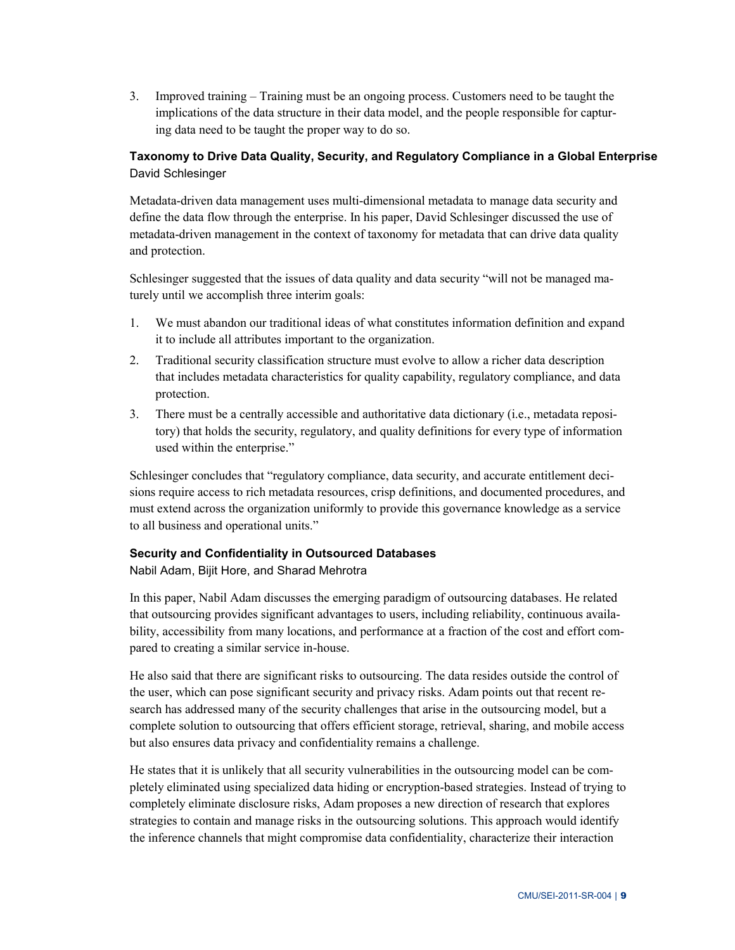3. Improved training – Training must be an ongoing process. Customers need to be taught the implications of the data structure in their data model, and the people responsible for capturing data need to be taught the proper way to do so.

# **Taxonomy to Drive Data Quality, Security, and Regulatory Compliance in a Global Enterprise**  David Schlesinger

Metadata-driven data management uses multi-dimensional metadata to manage data security and define the data flow through the enterprise. In his paper, David Schlesinger discussed the use of metadata-driven management in the context of taxonomy for metadata that can drive data quality and protection.

Schlesinger suggested that the issues of data quality and data security "will not be managed maturely until we accomplish three interim goals:

- 1. We must abandon our traditional ideas of what constitutes information definition and expand it to include all attributes important to the organization.
- 2. Traditional security classification structure must evolve to allow a richer data description that includes metadata characteristics for quality capability, regulatory compliance, and data protection.
- 3. There must be a centrally accessible and authoritative data dictionary (i.e., metadata repository) that holds the security, regulatory, and quality definitions for every type of information used within the enterprise."

Schlesinger concludes that "regulatory compliance, data security, and accurate entitlement decisions require access to rich metadata resources, crisp definitions, and documented procedures, and must extend across the organization uniformly to provide this governance knowledge as a service to all business and operational units."

# **Security and Confidentiality in Outsourced Databases**

# Nabil Adam, Bijit Hore, and Sharad Mehrotra

In this paper, Nabil Adam discusses the emerging paradigm of outsourcing databases. He related that outsourcing provides significant advantages to users, including reliability, continuous availability, accessibility from many locations, and performance at a fraction of the cost and effort compared to creating a similar service in-house.

He also said that there are significant risks to outsourcing. The data resides outside the control of the user, which can pose significant security and privacy risks. Adam points out that recent research has addressed many of the security challenges that arise in the outsourcing model, but a complete solution to outsourcing that offers efficient storage, retrieval, sharing, and mobile access but also ensures data privacy and confidentiality remains a challenge.

He states that it is unlikely that all security vulnerabilities in the outsourcing model can be completely eliminated using specialized data hiding or encryption-based strategies. Instead of trying to completely eliminate disclosure risks, Adam proposes a new direction of research that explores strategies to contain and manage risks in the outsourcing solutions. This approach would identify the inference channels that might compromise data confidentiality, characterize their interaction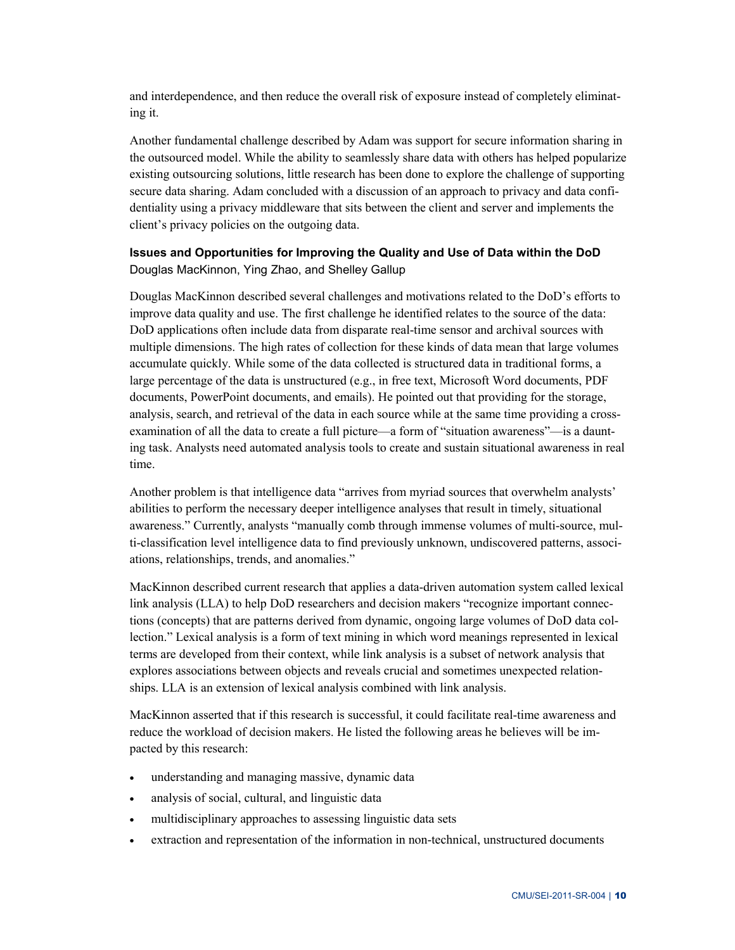and interdependence, and then reduce the overall risk of exposure instead of completely eliminating it.

Another fundamental challenge described by Adam was support for secure information sharing in the outsourced model. While the ability to seamlessly share data with others has helped popularize existing outsourcing solutions, little research has been done to explore the challenge of supporting secure data sharing. Adam concluded with a discussion of an approach to privacy and data confidentiality using a privacy middleware that sits between the client and server and implements the client's privacy policies on the outgoing data.

# **Issues and Opportunities for Improving the Quality and Use of Data within the DoD**  Douglas MacKinnon, Ying Zhao, and Shelley Gallup

Douglas MacKinnon described several challenges and motivations related to the DoD's efforts to improve data quality and use. The first challenge he identified relates to the source of the data: DoD applications often include data from disparate real-time sensor and archival sources with multiple dimensions. The high rates of collection for these kinds of data mean that large volumes accumulate quickly. While some of the data collected is structured data in traditional forms, a large percentage of the data is unstructured (e.g., in free text, Microsoft Word documents, PDF documents, PowerPoint documents, and emails). He pointed out that providing for the storage, analysis, search, and retrieval of the data in each source while at the same time providing a crossexamination of all the data to create a full picture—a form of "situation awareness"—is a daunting task. Analysts need automated analysis tools to create and sustain situational awareness in real time.

Another problem is that intelligence data "arrives from myriad sources that overwhelm analysts' abilities to perform the necessary deeper intelligence analyses that result in timely, situational awareness." Currently, analysts "manually comb through immense volumes of multi-source, multi-classification level intelligence data to find previously unknown, undiscovered patterns, associations, relationships, trends, and anomalies."

MacKinnon described current research that applies a data-driven automation system called lexical link analysis (LLA) to help DoD researchers and decision makers "recognize important connections (concepts) that are patterns derived from dynamic, ongoing large volumes of DoD data collection." Lexical analysis is a form of text mining in which word meanings represented in lexical terms are developed from their context, while link analysis is a subset of network analysis that explores associations between objects and reveals crucial and sometimes unexpected relationships. LLA is an extension of lexical analysis combined with link analysis.

MacKinnon asserted that if this research is successful, it could facilitate real-time awareness and reduce the workload of decision makers. He listed the following areas he believes will be impacted by this research:

- understanding and managing massive, dynamic data
- analysis of social, cultural, and linguistic data
- multidisciplinary approaches to assessing linguistic data sets
- extraction and representation of the information in non-technical, unstructured documents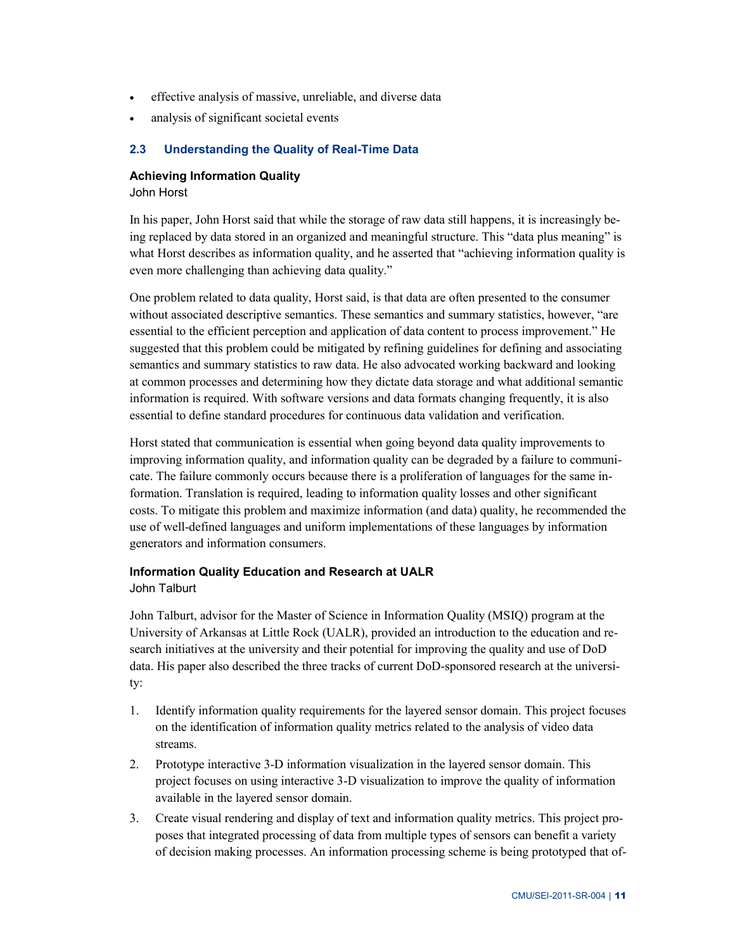- effective analysis of massive, unreliable, and diverse data
- analysis of significant societal events

#### **2.3 Understanding the Quality of Real-Time Data**

# **Achieving Information Quality**

# John Horst

In his paper, John Horst said that while the storage of raw data still happens, it is increasingly being replaced by data stored in an organized and meaningful structure. This "data plus meaning" is what Horst describes as information quality, and he asserted that "achieving information quality is even more challenging than achieving data quality."

One problem related to data quality, Horst said, is that data are often presented to the consumer without associated descriptive semantics. These semantics and summary statistics, however, "are essential to the efficient perception and application of data content to process improvement." He suggested that this problem could be mitigated by refining guidelines for defining and associating semantics and summary statistics to raw data. He also advocated working backward and looking at common processes and determining how they dictate data storage and what additional semantic information is required. With software versions and data formats changing frequently, it is also essential to define standard procedures for continuous data validation and verification.

Horst stated that communication is essential when going beyond data quality improvements to improving information quality, and information quality can be degraded by a failure to communicate. The failure commonly occurs because there is a proliferation of languages for the same information. Translation is required, leading to information quality losses and other significant costs. To mitigate this problem and maximize information (and data) quality, he recommended the use of well-defined languages and uniform implementations of these languages by information generators and information consumers.

# **Information Quality Education and Research at UALR**  John Talburt

John Talburt, advisor for the Master of Science in Information Quality (MSIQ) program at the University of Arkansas at Little Rock (UALR), provided an introduction to the education and research initiatives at the university and their potential for improving the quality and use of DoD data. His paper also described the three tracks of current DoD-sponsored research at the university:

- 1. Identify information quality requirements for the layered sensor domain. This project focuses on the identification of information quality metrics related to the analysis of video data streams.
- 2. Prototype interactive 3-D information visualization in the layered sensor domain. This project focuses on using interactive 3-D visualization to improve the quality of information available in the layered sensor domain.
- 3. Create visual rendering and display of text and information quality metrics. This project proposes that integrated processing of data from multiple types of sensors can benefit a variety of decision making processes. An information processing scheme is being prototyped that of-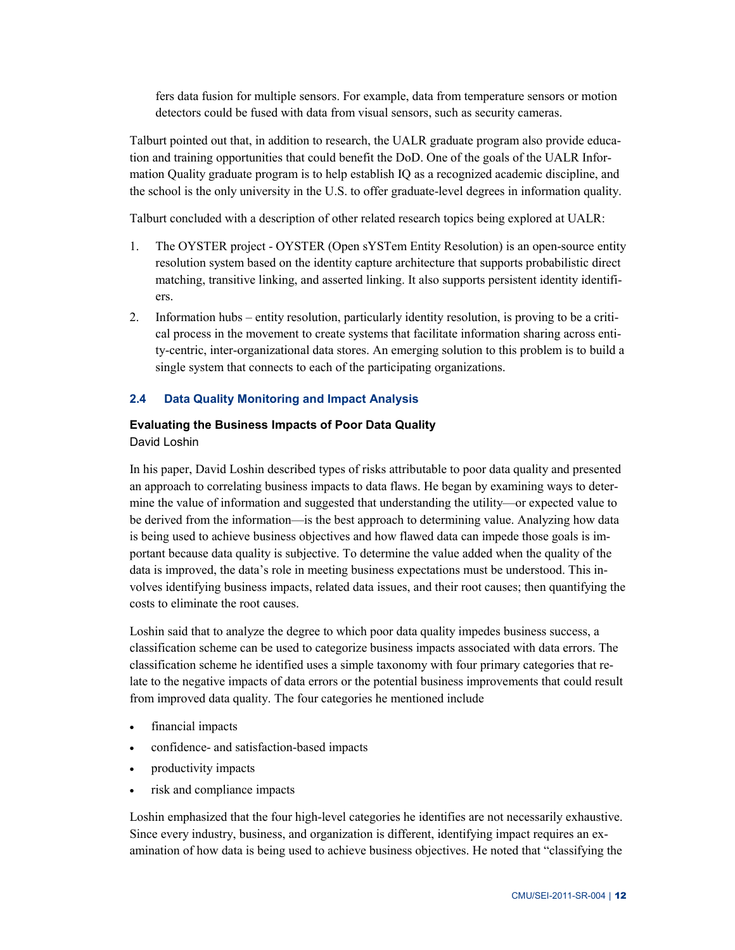fers data fusion for multiple sensors. For example, data from temperature sensors or motion detectors could be fused with data from visual sensors, such as security cameras.

Talburt pointed out that, in addition to research, the UALR graduate program also provide education and training opportunities that could benefit the DoD. One of the goals of the UALR Information Quality graduate program is to help establish IQ as a recognized academic discipline, and the school is the only university in the U.S. to offer graduate-level degrees in information quality.

Talburt concluded with a description of other related research topics being explored at UALR:

- 1. The OYSTER project OYSTER (Open sYSTem Entity Resolution) is an open-source entity resolution system based on the identity capture architecture that supports probabilistic direct matching, transitive linking, and asserted linking. It also supports persistent identity identifiers.
- 2. Information hubs entity resolution, particularly identity resolution, is proving to be a critical process in the movement to create systems that facilitate information sharing across entity-centric, inter-organizational data stores. An emerging solution to this problem is to build a single system that connects to each of the participating organizations.

#### **2.4 Data Quality Monitoring and Impact Analysis**

#### **Evaluating the Business Impacts of Poor Data Quality**  David Loshin

In his paper, David Loshin described types of risks attributable to poor data quality and presented an approach to correlating business impacts to data flaws. He began by examining ways to determine the value of information and suggested that understanding the utility—or expected value to be derived from the information—is the best approach to determining value. Analyzing how data is being used to achieve business objectives and how flawed data can impede those goals is important because data quality is subjective. To determine the value added when the quality of the data is improved, the data's role in meeting business expectations must be understood. This involves identifying business impacts, related data issues, and their root causes; then quantifying the costs to eliminate the root causes.

Loshin said that to analyze the degree to which poor data quality impedes business success, a classification scheme can be used to categorize business impacts associated with data errors. The classification scheme he identified uses a simple taxonomy with four primary categories that relate to the negative impacts of data errors or the potential business improvements that could result from improved data quality. The four categories he mentioned include

- financial impacts
- confidence- and satisfaction-based impacts
- productivity impacts
- risk and compliance impacts

Loshin emphasized that the four high-level categories he identifies are not necessarily exhaustive. Since every industry, business, and organization is different, identifying impact requires an examination of how data is being used to achieve business objectives. He noted that "classifying the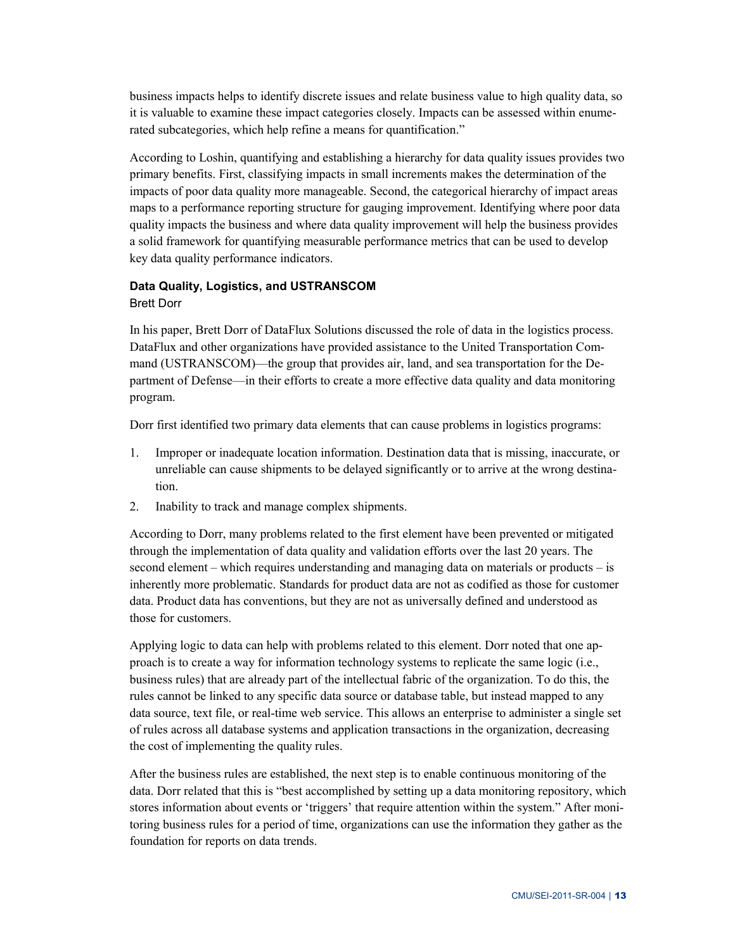business impacts helps to identify discrete issues and relate business value to high quality data, so it is valuable to examine these impact categories closely. Impacts can be assessed within enumerated subcategories, which help refine a means for quantification."

According to Loshin, quantifying and establishing a hierarchy for data quality issues provides two primary benefits. First, classifying impacts in small increments makes the determination of the impacts of poor data quality more manageable. Second, the categorical hierarchy of impact areas maps to a performance reporting structure for gauging improvement. Identifying where poor data quality impacts the business and where data quality improvement will help the business provides a solid framework for quantifying measurable performance metrics that can be used to develop key data quality performance indicators.

# **Data Quality, Logistics, and USTRANSCOM**  Brett Dorr

In his paper, Brett Dorr of DataFlux Solutions discussed the role of data in the logistics process. DataFlux and other organizations have provided assistance to the United Transportation Command (USTRANSCOM)—the group that provides air, land, and sea transportation for the Department of Defense—in their efforts to create a more effective data quality and data monitoring program.

Dorr first identified two primary data elements that can cause problems in logistics programs:

- 1. Improper or inadequate location information. Destination data that is missing, inaccurate, or unreliable can cause shipments to be delayed significantly or to arrive at the wrong destination.
- 2. Inability to track and manage complex shipments.

According to Dorr, many problems related to the first element have been prevented or mitigated through the implementation of data quality and validation efforts over the last 20 years. The second element – which requires understanding and managing data on materials or products – is inherently more problematic. Standards for product data are not as codified as those for customer data. Product data has conventions, but they are not as universally defined and understood as those for customers.

Applying logic to data can help with problems related to this element. Dorr noted that one approach is to create a way for information technology systems to replicate the same logic (i.e., business rules) that are already part of the intellectual fabric of the organization. To do this, the rules cannot be linked to any specific data source or database table, but instead mapped to any data source, text file, or real-time web service. This allows an enterprise to administer a single set of rules across all database systems and application transactions in the organization, decreasing the cost of implementing the quality rules.

After the business rules are established, the next step is to enable continuous monitoring of the data. Dorr related that this is "best accomplished by setting up a data monitoring repository, which stores information about events or 'triggers' that require attention within the system." After monitoring business rules for a period of time, organizations can use the information they gather as the foundation for reports on data trends.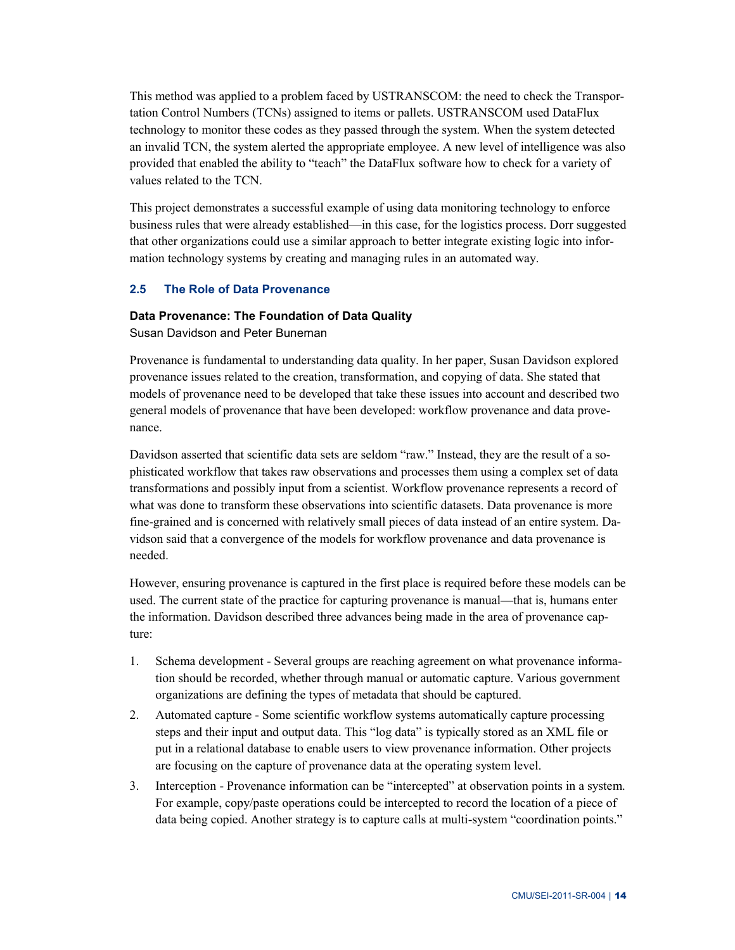This method was applied to a problem faced by USTRANSCOM: the need to check the Transportation Control Numbers (TCNs) assigned to items or pallets. USTRANSCOM used DataFlux technology to monitor these codes as they passed through the system. When the system detected an invalid TCN, the system alerted the appropriate employee. A new level of intelligence was also provided that enabled the ability to "teach" the DataFlux software how to check for a variety of values related to the TCN.

This project demonstrates a successful example of using data monitoring technology to enforce business rules that were already established—in this case, for the logistics process. Dorr suggested that other organizations could use a similar approach to better integrate existing logic into information technology systems by creating and managing rules in an automated way.

# **2.5 The Role of Data Provenance**

# **Data Provenance: The Foundation of Data Quality**

Susan Davidson and Peter Buneman

Provenance is fundamental to understanding data quality. In her paper, Susan Davidson explored provenance issues related to the creation, transformation, and copying of data. She stated that models of provenance need to be developed that take these issues into account and described two general models of provenance that have been developed: workflow provenance and data provenance.

Davidson asserted that scientific data sets are seldom "raw." Instead, they are the result of a sophisticated workflow that takes raw observations and processes them using a complex set of data transformations and possibly input from a scientist. Workflow provenance represents a record of what was done to transform these observations into scientific datasets. Data provenance is more fine-grained and is concerned with relatively small pieces of data instead of an entire system. Davidson said that a convergence of the models for workflow provenance and data provenance is needed.

However, ensuring provenance is captured in the first place is required before these models can be used. The current state of the practice for capturing provenance is manual—that is, humans enter the information. Davidson described three advances being made in the area of provenance capture:

- 1. Schema development Several groups are reaching agreement on what provenance information should be recorded, whether through manual or automatic capture. Various government organizations are defining the types of metadata that should be captured.
- 2. Automated capture Some scientific workflow systems automatically capture processing steps and their input and output data. This "log data" is typically stored as an XML file or put in a relational database to enable users to view provenance information. Other projects are focusing on the capture of provenance data at the operating system level.
- 3. Interception Provenance information can be "intercepted" at observation points in a system. For example, copy/paste operations could be intercepted to record the location of a piece of data being copied. Another strategy is to capture calls at multi-system "coordination points."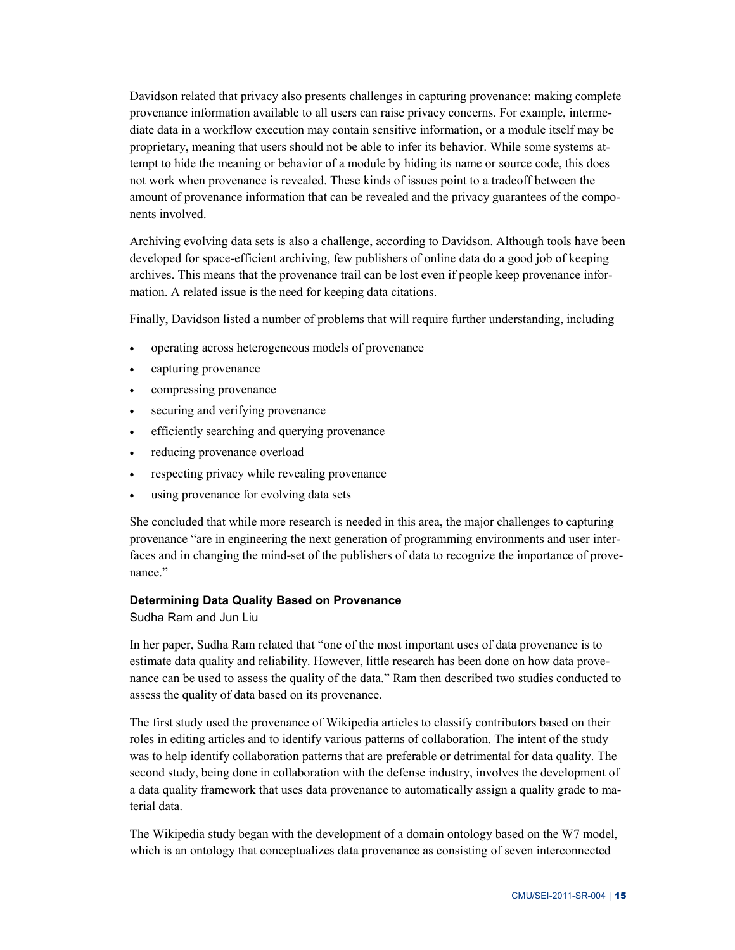Davidson related that privacy also presents challenges in capturing provenance: making complete provenance information available to all users can raise privacy concerns. For example, intermediate data in a workflow execution may contain sensitive information, or a module itself may be proprietary, meaning that users should not be able to infer its behavior. While some systems attempt to hide the meaning or behavior of a module by hiding its name or source code, this does not work when provenance is revealed. These kinds of issues point to a tradeoff between the amount of provenance information that can be revealed and the privacy guarantees of the components involved.

Archiving evolving data sets is also a challenge, according to Davidson. Although tools have been developed for space-efficient archiving, few publishers of online data do a good job of keeping archives. This means that the provenance trail can be lost even if people keep provenance information. A related issue is the need for keeping data citations.

Finally, Davidson listed a number of problems that will require further understanding, including

- operating across heterogeneous models of provenance
- capturing provenance
- compressing provenance
- securing and verifying provenance
- efficiently searching and querying provenance
- reducing provenance overload
- respecting privacy while revealing provenance
- using provenance for evolving data sets

She concluded that while more research is needed in this area, the major challenges to capturing provenance "are in engineering the next generation of programming environments and user interfaces and in changing the mind-set of the publishers of data to recognize the importance of provenance."

#### **Determining Data Quality Based on Provenance**

Sudha Ram and Jun Liu

In her paper, Sudha Ram related that "one of the most important uses of data provenance is to estimate data quality and reliability. However, little research has been done on how data provenance can be used to assess the quality of the data." Ram then described two studies conducted to assess the quality of data based on its provenance.

The first study used the provenance of Wikipedia articles to classify contributors based on their roles in editing articles and to identify various patterns of collaboration. The intent of the study was to help identify collaboration patterns that are preferable or detrimental for data quality. The second study, being done in collaboration with the defense industry, involves the development of a data quality framework that uses data provenance to automatically assign a quality grade to material data.

The Wikipedia study began with the development of a domain ontology based on the W7 model, which is an ontology that conceptualizes data provenance as consisting of seven interconnected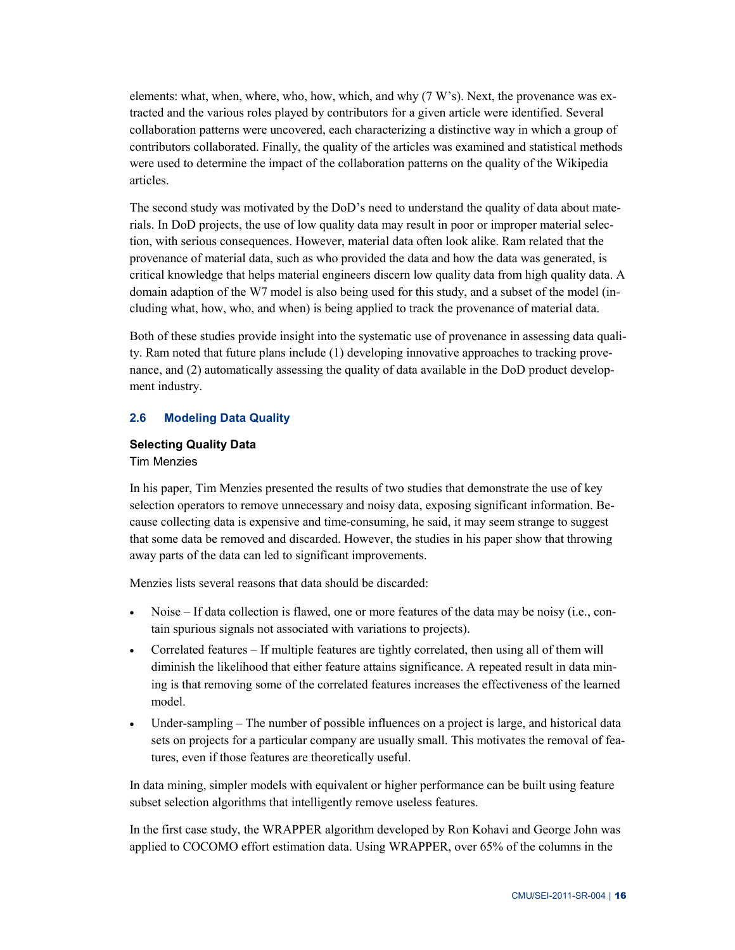elements: what, when, where, who, how, which, and why (7 W's). Next, the provenance was extracted and the various roles played by contributors for a given article were identified. Several collaboration patterns were uncovered, each characterizing a distinctive way in which a group of contributors collaborated. Finally, the quality of the articles was examined and statistical methods were used to determine the impact of the collaboration patterns on the quality of the Wikipedia articles.

The second study was motivated by the DoD's need to understand the quality of data about materials. In DoD projects, the use of low quality data may result in poor or improper material selection, with serious consequences. However, material data often look alike. Ram related that the provenance of material data, such as who provided the data and how the data was generated, is critical knowledge that helps material engineers discern low quality data from high quality data. A domain adaption of the W7 model is also being used for this study, and a subset of the model (including what, how, who, and when) is being applied to track the provenance of material data.

Both of these studies provide insight into the systematic use of provenance in assessing data quality. Ram noted that future plans include (1) developing innovative approaches to tracking provenance, and (2) automatically assessing the quality of data available in the DoD product development industry.

#### **2.6 Modeling Data Quality**

#### **Selecting Quality Data**

#### Tim Menzies

In his paper, Tim Menzies presented the results of two studies that demonstrate the use of key selection operators to remove unnecessary and noisy data, exposing significant information. Because collecting data is expensive and time-consuming, he said, it may seem strange to suggest that some data be removed and discarded. However, the studies in his paper show that throwing away parts of the data can led to significant improvements.

Menzies lists several reasons that data should be discarded:

- Noise If data collection is flawed, one or more features of the data may be noisy (i.e., contain spurious signals not associated with variations to projects).
- Correlated features If multiple features are tightly correlated, then using all of them will diminish the likelihood that either feature attains significance. A repeated result in data mining is that removing some of the correlated features increases the effectiveness of the learned model.
- Under-sampling The number of possible influences on a project is large, and historical data sets on projects for a particular company are usually small. This motivates the removal of features, even if those features are theoretically useful.

In data mining, simpler models with equivalent or higher performance can be built using feature subset selection algorithms that intelligently remove useless features.

In the first case study, the WRAPPER algorithm developed by Ron Kohavi and George John was applied to COCOMO effort estimation data. Using WRAPPER, over 65% of the columns in the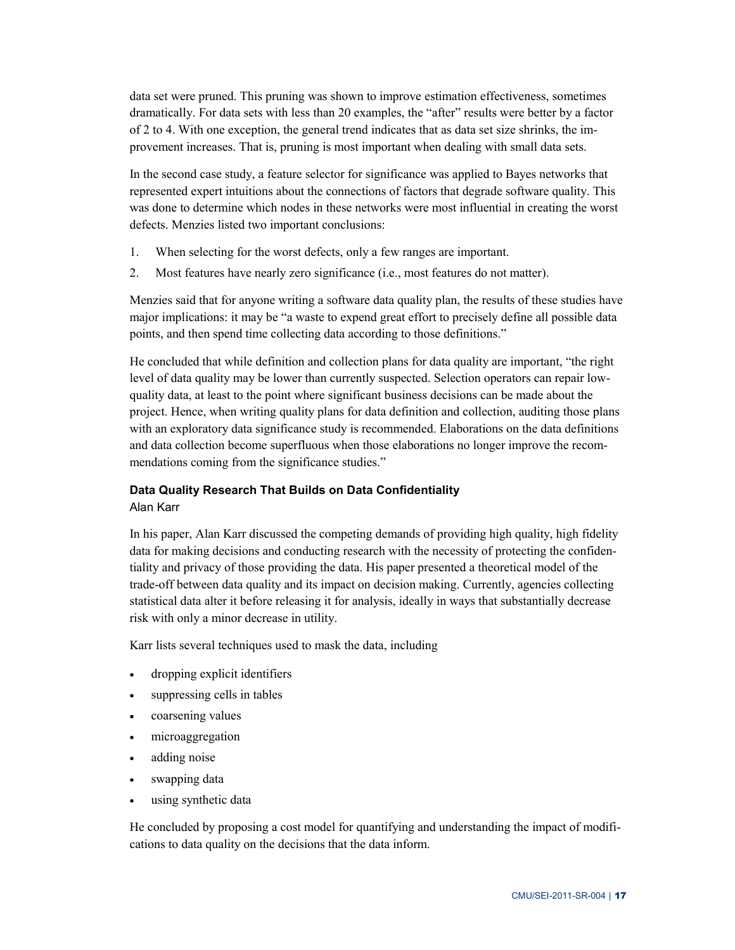data set were pruned. This pruning was shown to improve estimation effectiveness, sometimes dramatically. For data sets with less than 20 examples, the "after" results were better by a factor of 2 to 4. With one exception, the general trend indicates that as data set size shrinks, the improvement increases. That is, pruning is most important when dealing with small data sets.

In the second case study, a feature selector for significance was applied to Bayes networks that represented expert intuitions about the connections of factors that degrade software quality. This was done to determine which nodes in these networks were most influential in creating the worst defects. Menzies listed two important conclusions:

- 1. When selecting for the worst defects, only a few ranges are important.
- 2. Most features have nearly zero significance (i.e., most features do not matter).

Menzies said that for anyone writing a software data quality plan, the results of these studies have major implications: it may be "a waste to expend great effort to precisely define all possible data points, and then spend time collecting data according to those definitions."

He concluded that while definition and collection plans for data quality are important, "the right level of data quality may be lower than currently suspected. Selection operators can repair lowquality data, at least to the point where significant business decisions can be made about the project. Hence, when writing quality plans for data definition and collection, auditing those plans with an exploratory data significance study is recommended. Elaborations on the data definitions and data collection become superfluous when those elaborations no longer improve the recommendations coming from the significance studies."

#### **Data Quality Research That Builds on Data Confidentiality**  Alan Karr

In his paper, Alan Karr discussed the competing demands of providing high quality, high fidelity data for making decisions and conducting research with the necessity of protecting the confidentiality and privacy of those providing the data. His paper presented a theoretical model of the trade-off between data quality and its impact on decision making. Currently, agencies collecting statistical data alter it before releasing it for analysis, ideally in ways that substantially decrease risk with only a minor decrease in utility.

Karr lists several techniques used to mask the data, including

- dropping explicit identifiers
- suppressing cells in tables
- coarsening values
- microaggregation
- adding noise
- swapping data
- using synthetic data

He concluded by proposing a cost model for quantifying and understanding the impact of modifications to data quality on the decisions that the data inform.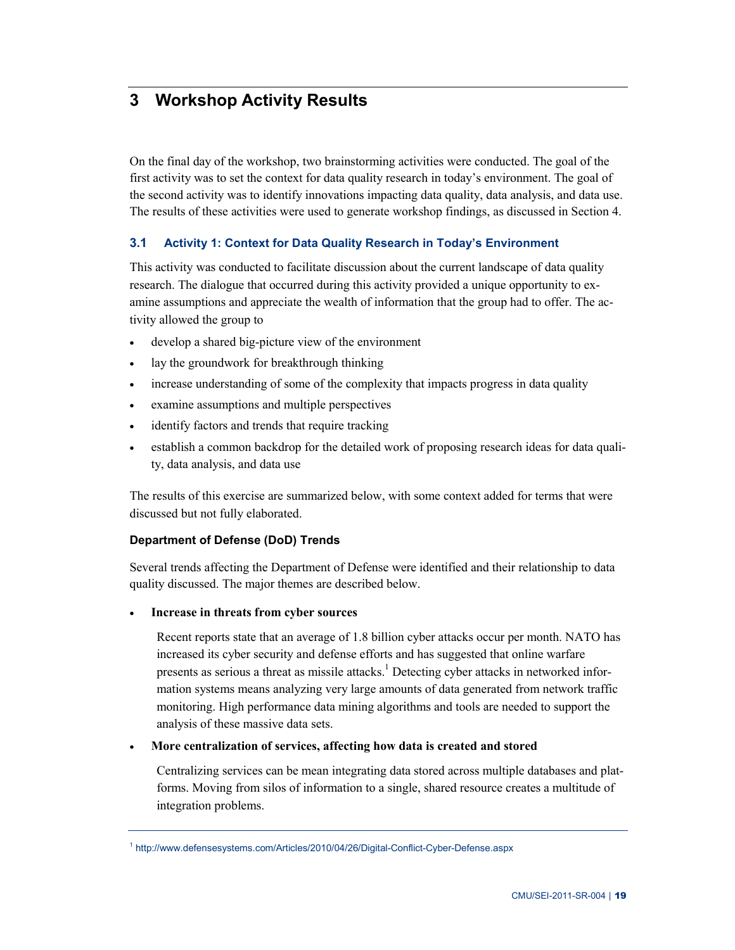# **3 Workshop Activity Results**

On the final day of the workshop, two brainstorming activities were conducted. The goal of the first activity was to set the context for data quality research in today's environment. The goal of the second activity was to identify innovations impacting data quality, data analysis, and data use. The results of these activities were used to generate workshop findings, as discussed in Section 4.

# **3.1 Activity 1: Context for Data Quality Research in Today's Environment**

This activity was conducted to facilitate discussion about the current landscape of data quality research. The dialogue that occurred during this activity provided a unique opportunity to examine assumptions and appreciate the wealth of information that the group had to offer. The activity allowed the group to

- develop a shared big-picture view of the environment
- lay the groundwork for breakthrough thinking
- increase understanding of some of the complexity that impacts progress in data quality
- examine assumptions and multiple perspectives
- identify factors and trends that require tracking
- establish a common backdrop for the detailed work of proposing research ideas for data quality, data analysis, and data use

The results of this exercise are summarized below, with some context added for terms that were discussed but not fully elaborated.

# **Department of Defense (DoD) Trends**

Several trends affecting the Department of Defense were identified and their relationship to data quality discussed. The major themes are described below.

# • **Increase in threats from cyber sources**

Recent reports state that an average of 1.8 billion cyber attacks occur per month. NATO has increased its cyber security and defense efforts and has suggested that online warfare presents as serious a threat as missile attacks.<sup>1</sup> Detecting cyber attacks in networked information systems means analyzing very large amounts of data generated from network traffic monitoring. High performance data mining algorithms and tools are needed to support the analysis of these massive data sets.

# • **More centralization of services, affecting how data is created and stored**

Centralizing services can be mean integrating data stored across multiple databases and platforms. Moving from silos of information to a single, shared resource creates a multitude of integration problems.

<sup>&</sup>lt;sup>1</sup> http://www.defensesystems.com/Articles/2010/04/26/Digital-Conflict-Cyber-Defense.aspx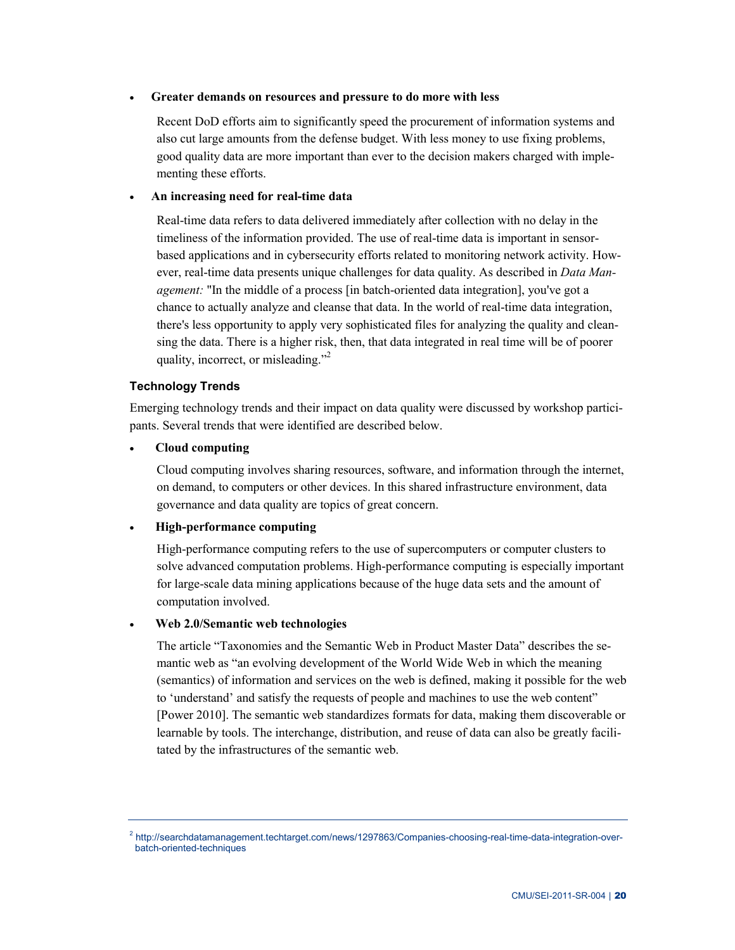#### • **Greater demands on resources and pressure to do more with less**

Recent DoD efforts aim to significantly speed the procurement of information systems and also cut large amounts from the defense budget. With less money to use fixing problems, good quality data are more important than ever to the decision makers charged with implementing these efforts.

#### • **An increasing need for real-time data**

Real-time data refers to data delivered immediately after collection with no delay in the timeliness of the information provided. The use of real-time data is important in sensorbased applications and in cybersecurity efforts related to monitoring network activity. However, real-time data presents unique challenges for data quality. As described in *Data Management:* "In the middle of a process [in batch-oriented data integration], you've got a chance to actually analyze and cleanse that data. In the world of real-time data integration, there's less opportunity to apply very sophisticated files for analyzing the quality and cleansing the data. There is a higher risk, then, that data integrated in real time will be of poorer quality, incorrect, or misleading."<sup>2</sup>

#### **Technology Trends**

Emerging technology trends and their impact on data quality were discussed by workshop participants. Several trends that were identified are described below.

#### • **Cloud computing**

Cloud computing involves sharing resources, software, and information through the internet, on demand, to computers or other devices. In this shared infrastructure environment, data governance and data quality are topics of great concern.

# • **High-performance computing**

High-performance computing refers to the use of supercomputers or computer clusters to solve advanced computation problems. High-performance computing is especially important for large-scale data mining applications because of the huge data sets and the amount of computation involved.

# • **Web 2.0/Semantic web technologies**

The article "Taxonomies and the Semantic Web in Product Master Data" describes the semantic web as "an evolving development of the World Wide Web in which the meaning (semantics) of information and services on the web is defined, making it possible for the web to 'understand' and satisfy the requests of people and machines to use the web content" [Power 2010]. The semantic web standardizes formats for data, making them discoverable or learnable by tools. The interchange, distribution, and reuse of data can also be greatly facilitated by the infrastructures of the semantic web.

<sup>2</sup> [http://searchdatamanagement.techtarget.com/news/1297863/Companies-choosing-real-time-data-integration-over](http://searchdatamanagement.techtarget.com/news/1297863/Companies-choosing-real-time-data-integration-over-batch-oriented-techniques)batch-[oriented-techniques](http://searchdatamanagement.techtarget.com/news/1297863/Companies-choosing-real-time-data-integration-over-batch-oriented-techniques)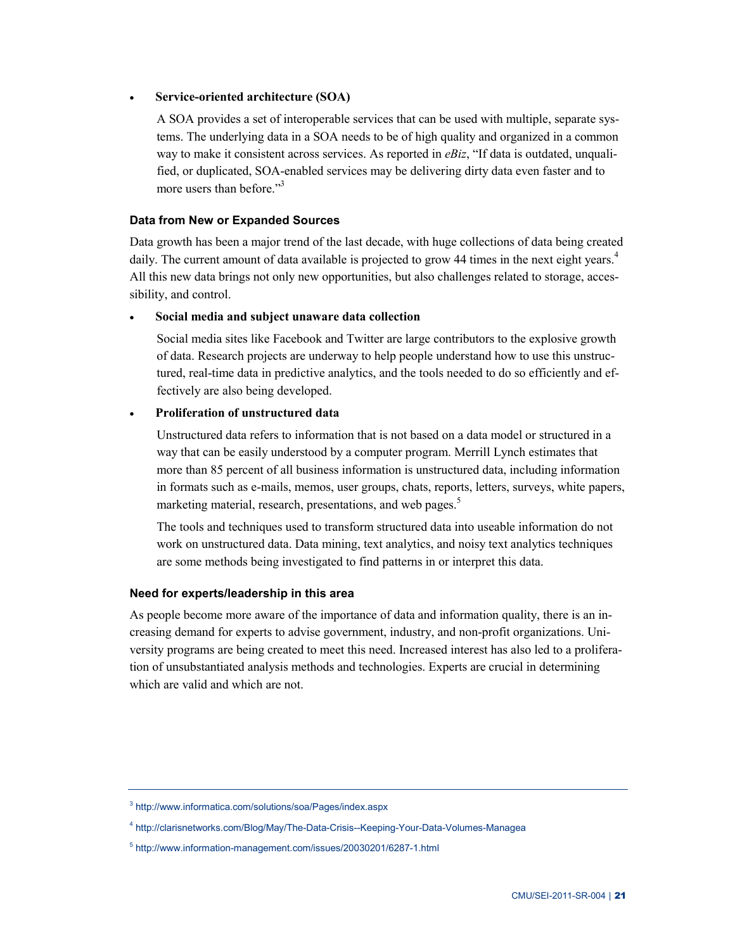#### • **Service-oriented architecture (SOA)**

A SOA provides a set of interoperable services that can be used with multiple, separate systems. The underlying data in a SOA needs to be of high quality and organized in a common way to make it consistent across services. As reported in *eBiz*, "If data is outdated, unqualified, or duplicated, SOA-enabled services may be delivering dirty data even faster and to more users than before." $3^3$ 

#### **Data from New or Expanded Sources**

Data growth has been a major trend of the last decade, with huge collections of data being created daily. The current amount of data available is projected to grow 44 times in the next eight years.<sup>4</sup> All this new data brings not only new opportunities, but also challenges related to storage, accessibility, and control.

#### • **Social media and subject unaware data collection**

Social media sites like Facebook and Twitter are large contributors to the explosive growth of data. Research projects are underway to help people understand how to use this unstructured, real-time data in predictive analytics, and the tools needed to do so efficiently and effectively are also being developed.

#### • **Proliferation of unstructured data**

Unstructured data refers to information that is not based on a data model or structured in a way that can be easily understood by a computer program. Merrill Lynch estimates that more than 85 percent of all business information is unstructured data, including information in formats such as e-mails, memos, user groups, chats, reports, letters, surveys, white papers, marketing material, research, presentations, and web pages.<sup>5</sup>

The tools and techniques used to transform structured data into useable information do not work on unstructured data. Data mining, text analytics, and noisy text analytics techniques are some methods being investigated to find patterns in or interpret this data.

# **Need for experts/leadership in this area**

As people become more aware of the importance of data and information quality, there is an increasing demand for experts to advise government, industry, and non-profit organizations. University programs are being created to meet this need. Increased interest has also led to a proliferation of unsubstantiated analysis methods and technologies. Experts are crucial in determining which are valid and which are not.

<sup>3</sup> <http://www.informatica.com/solutions/soa/Pages/index.aspx>

<sup>4</sup> <http://clarisnetworks.com/Blog/May/The-Data-Crisis--Keeping-Your-Data-Volumes-Managea>

<sup>5</sup> <http://www.information-management.com/issues/20030201/6287-1.html>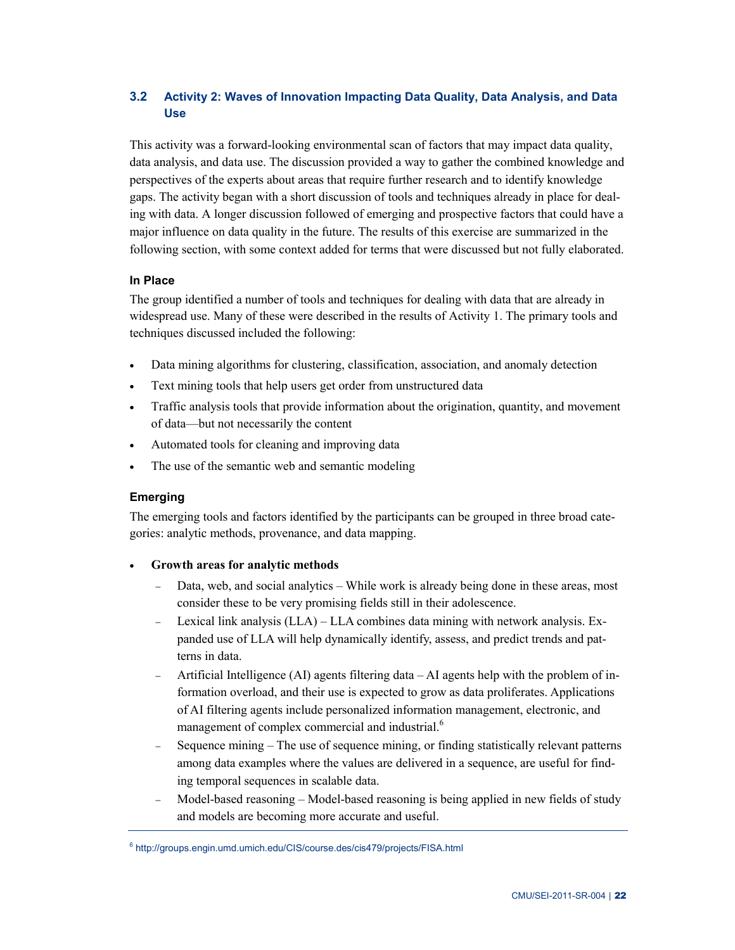# **3.2 Activity 2: Waves of Innovation Impacting Data Quality, Data Analysis, and Data Use**

This activity was a forward-looking environmental scan of factors that may impact data quality, data analysis, and data use. The discussion provided a way to gather the combined knowledge and perspectives of the experts about areas that require further research and to identify knowledge gaps. The activity began with a short discussion of tools and techniques already in place for dealing with data. A longer discussion followed of emerging and prospective factors that could have a major influence on data quality in the future. The results of this exercise are summarized in the following section, with some context added for terms that were discussed but not fully elaborated.

#### **In Place**

The group identified a number of tools and techniques for dealing with data that are already in widespread use. Many of these were described in the results of Activity 1. The primary tools and techniques discussed included the following:

- Data mining algorithms for clustering, classification, association, and anomaly detection
- Text mining tools that help users get order from unstructured data
- Traffic analysis tools that provide information about the origination, quantity, and movement of data—but not necessarily the content
- Automated tools for cleaning and improving data
- The use of the semantic web and semantic modeling

#### **Emerging**

The emerging tools and factors identified by the participants can be grouped in three broad categories: analytic methods, provenance, and data mapping.

#### • **Growth areas for analytic methods**

- Data, web, and social analytics While work is already being done in these areas, most consider these to be very promising fields still in their adolescence.
- − Lexical link analysis (LLA) LLA combines data mining with network analysis. Expanded use of LLA will help dynamically identify, assess, and predict trends and patterns in data.
- − Artificial Intelligence (AI) agents filtering data AI agents help with the problem of information overload, and their use is expected to grow as data proliferates. Applications of AI filtering agents include personalized information management, electronic, and management of complex commercial and industrial.<sup>6</sup>
- Sequence mining The use of sequence mining, or finding statistically relevant patterns among data examples where the values are delivered in a sequence, are useful for finding temporal sequences in scalable data.
- − Model-based reasoning Model-based reasoning is being applied in new fields of study and models are becoming more accurate and useful.

<sup>6</sup> <http://groups.engin.umd.umich.edu/CIS/course.des/cis479/projects/FISA.html>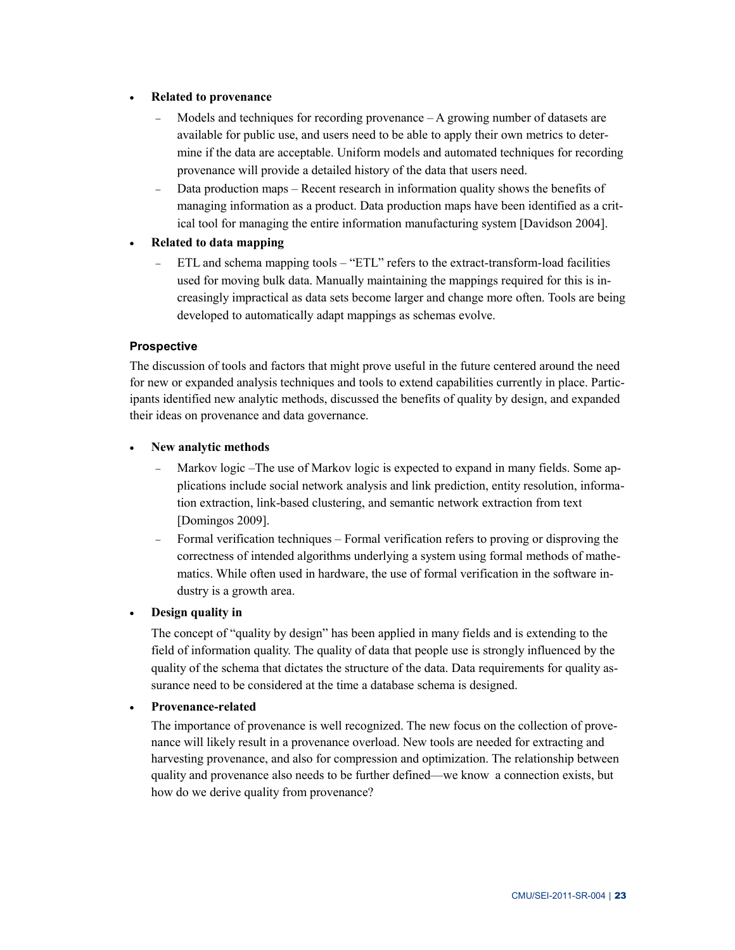#### • **Related to provenance**

- Models and techniques for recording provenance A growing number of datasets are available for public use, and users need to be able to apply their own metrics to determine if the data are acceptable. Uniform models and automated techniques for recording provenance will provide a detailed history of the data that users need.
- Data production maps Recent research in information quality shows the benefits of managing information as a product. Data production maps have been identified as a critical tool for managing the entire information manufacturing system [Davidson 2004].

# • **Related to data mapping**

− ETL and schema mapping tools – "ETL" refers to the extract-transform-load facilities used for moving bulk data. Manually maintaining the mappings required for this is increasingly impractical as data sets become larger and change more often. Tools are being developed to automatically adapt mappings as schemas evolve.

#### **Prospective**

The discussion of tools and factors that might prove useful in the future centered around the need for new or expanded analysis techniques and tools to extend capabilities currently in place. Participants identified new analytic methods, discussed the benefits of quality by design, and expanded their ideas on provenance and data governance.

#### • **New analytic methods**

- − Markov logic –The use of Markov logic is expected to expand in many fields. Some applications include social network analysis and link prediction, entity resolution, information extraction, link-based clustering, and semantic network extraction from text [Domingos 2009].
- − Formal verification techniques Formal verification refers to proving or disproving the correctness of intended algorithms underlying a system using formal methods of mathematics. While often used in hardware, the use of formal verification in the software industry is a growth area.

# • **Design quality in**

The concept of "quality by design" has been applied in many fields and is extending to the field of information quality. The quality of data that people use is strongly influenced by the quality of the schema that dictates the structure of the data. Data requirements for quality assurance need to be considered at the time a database schema is designed.

# • **Provenance-related**

The importance of provenance is well recognized. The new focus on the collection of provenance will likely result in a provenance overload. New tools are needed for extracting and harvesting provenance, and also for compression and optimization. The relationship between quality and provenance also needs to be further defined—we know a connection exists, but how do we derive quality from provenance?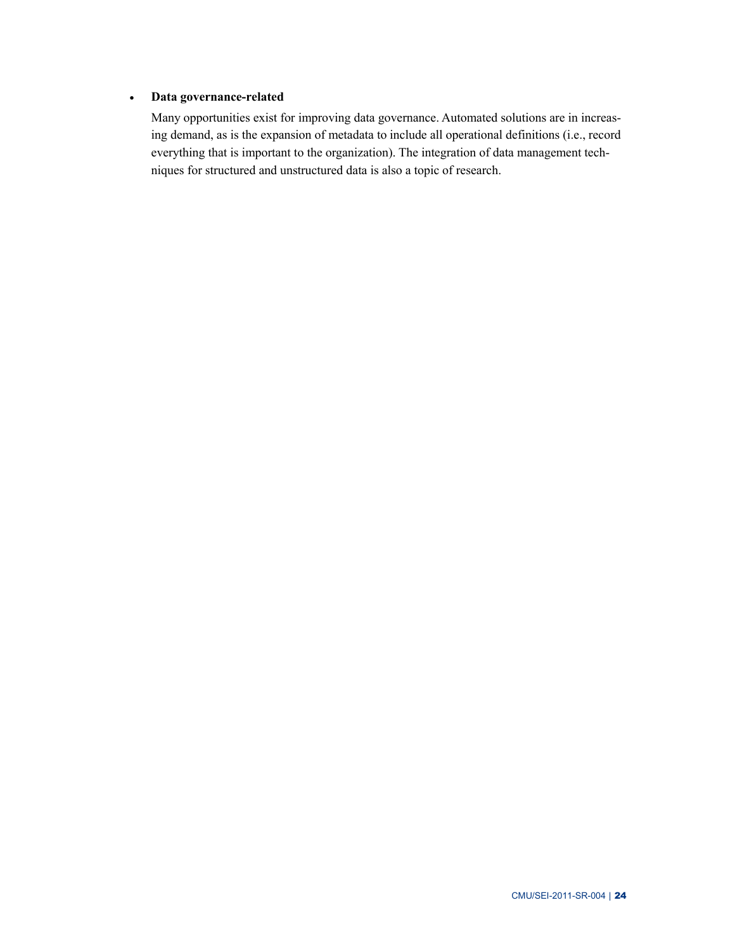#### • **Data governance-related**

Many opportunities exist for improving data governance. Automated solutions are in increasing demand, as is the expansion of metadata to include all operational definitions (i.e., record everything that is important to the organization). The integration of data management techniques for structured and unstructured data is also a topic of research.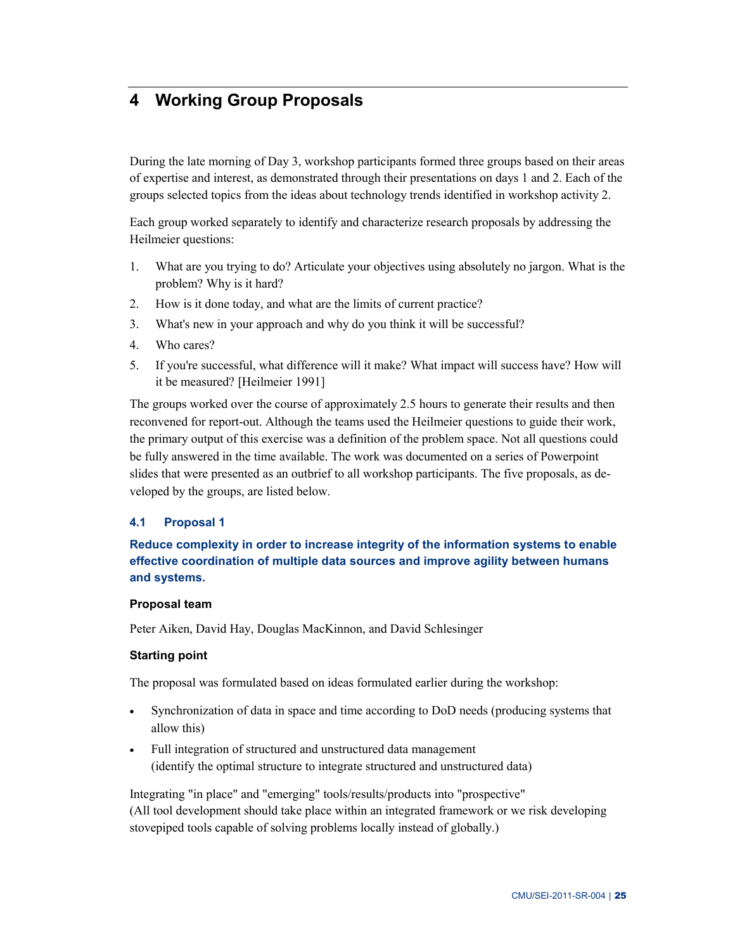# **4 Working Group Proposals**

During the late morning of Day 3, workshop participants formed three groups based on their areas of expertise and interest, as demonstrated through their presentations on days 1 and 2. Each of the groups selected topics from the ideas about technology trends identified in workshop activity 2.

Each group worked separately to identify and characterize research proposals by addressing the Heilmeier questions:

- 1. What are you trying to do? Articulate your objectives using absolutely no jargon. What is the problem? Why is it hard?
- 2. How is it done today, and what are the limits of current practice?
- 3. What's new in your approach and why do you think it will be successful?
- 4. Who cares?
- 5. If you're successful, what difference will it make? What impact will success have? How will it be measured? [Heilmeier 1991]

The groups worked over the course of approximately 2.5 hours to generate their results and then reconvened for report-out. Although the teams used the Heilmeier questions to guide their work, the primary output of this exercise was a definition of the problem space. Not all questions could be fully answered in the time available. The work was documented on a series of Powerpoint slides that were presented as an outbrief to all workshop participants. The five proposals, as developed by the groups, are listed below.

#### **4.1 Proposal 1**

# **Reduce complexity in order to increase integrity of the information systems to enable effective coordination of multiple data sources and improve agility between humans and systems.**

#### **Proposal team**

Peter Aiken, David Hay, Douglas MacKinnon, and David Schlesinger

#### **Starting point**

The proposal was formulated based on ideas formulated earlier during the workshop:

- Synchronization of data in space and time according to DoD needs (producing systems that allow this)
- Full integration of structured and unstructured data management (identify the optimal structure to integrate structured and unstructured data)

Integrating "in place" and "emerging" tools/results/products into "prospective" (All tool development should take place within an integrated framework or we risk developing stovepiped tools capable of solving problems locally instead of globally.)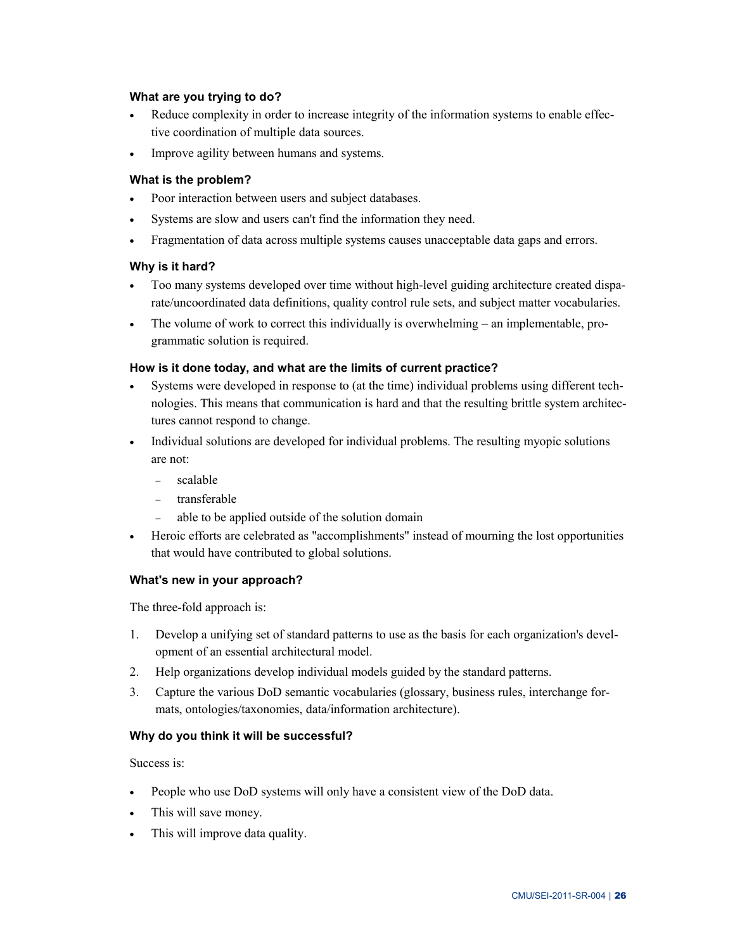#### **What are you trying to do?**

- Reduce complexity in order to increase integrity of the information systems to enable effective coordination of multiple data sources.
- Improve agility between humans and systems.

#### **What is the problem?**

- Poor interaction between users and subject databases.
- Systems are slow and users can't find the information they need.
- Fragmentation of data across multiple systems causes unacceptable data gaps and errors.

#### **Why is it hard?**

- Too many systems developed over time without high-level guiding architecture created disparate/uncoordinated data definitions, quality control rule sets, and subject matter vocabularies.
- The volume of work to correct this individually is overwhelming an implementable, programmatic solution is required.

#### **How is it done today, and what are the limits of current practice?**

- Systems were developed in response to (at the time) individual problems using different technologies. This means that communication is hard and that the resulting brittle system architectures cannot respond to change.
- Individual solutions are developed for individual problems. The resulting myopic solutions are not:
	- − scalable
	- − transferable
	- able to be applied outside of the solution domain
- Heroic efforts are celebrated as "accomplishments" instead of mourning the lost opportunities that would have contributed to global solutions.

#### **What's new in your approach?**

The three-fold approach is:

- 1. Develop a unifying set of standard patterns to use as the basis for each organization's development of an essential architectural model.
- 2. Help organizations develop individual models guided by the standard patterns.
- 3. Capture the various DoD semantic vocabularies (glossary, business rules, interchange formats, ontologies/taxonomies, data/information architecture).

#### **Why do you think it will be successful?**

Success is:

- People who use DoD systems will only have a consistent view of the DoD data.
- This will save money.
- This will improve data quality.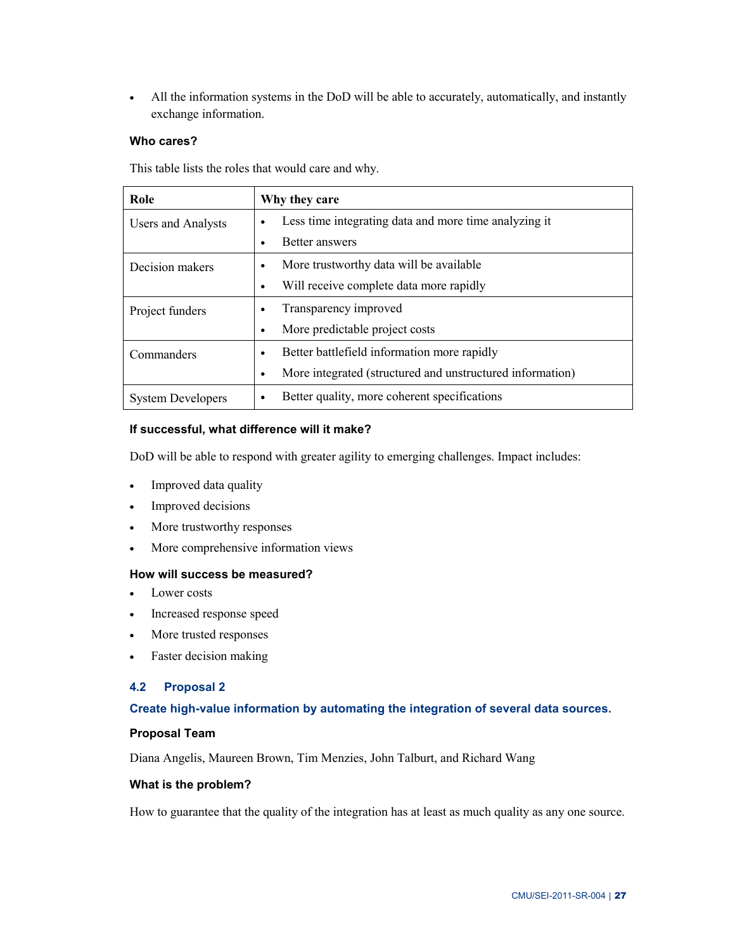• All the information systems in the DoD will be able to accurately, automatically, and instantly exchange information.

# **Who cares?**

This table lists the roles that would care and why.

| Role                      | Why they care                                             |  |  |  |  |
|---------------------------|-----------------------------------------------------------|--|--|--|--|
| <b>Users and Analysts</b> | Less time integrating data and more time analyzing it     |  |  |  |  |
|                           | Better answers                                            |  |  |  |  |
| Decision makers           | More trustworthy data will be available                   |  |  |  |  |
|                           | Will receive complete data more rapidly                   |  |  |  |  |
| Project funders           | Transparency improved                                     |  |  |  |  |
|                           | More predictable project costs<br>٠                       |  |  |  |  |
| Commanders                | Better battlefield information more rapidly               |  |  |  |  |
|                           | More integrated (structured and unstructured information) |  |  |  |  |
| <b>System Developers</b>  | Better quality, more coherent specifications              |  |  |  |  |

#### **If successful, what difference will it make?**

DoD will be able to respond with greater agility to emerging challenges. Impact includes:

- Improved data quality
- Improved decisions
- More trustworthy responses
- More comprehensive information views

#### **How will success be measured?**

- Lower costs
- Increased response speed
- More trusted responses
- Faster decision making

#### **4.2 Proposal 2**

#### **Create high-value information by automating the integration of several data sources.**

#### **Proposal Team**

Diana Angelis, Maureen Brown, Tim Menzies, John Talburt, and Richard Wang

#### **What is the problem?**

How to guarantee that the quality of the integration has at least as much quality as any one source.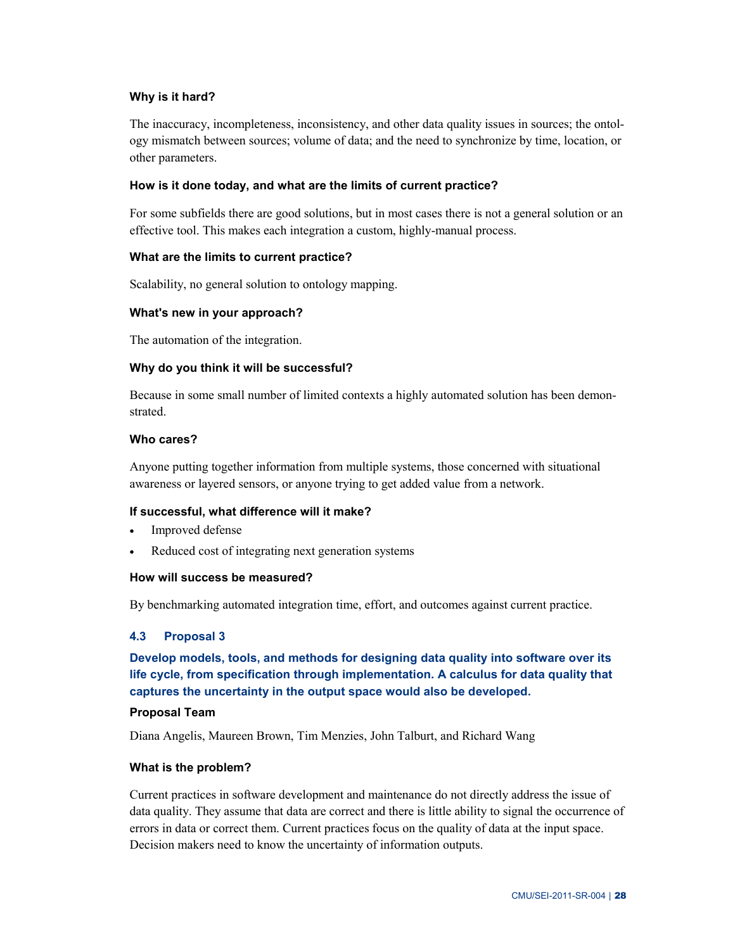#### **Why is it hard?**

The inaccuracy, incompleteness, inconsistency, and other data quality issues in sources; the ontology mismatch between sources; volume of data; and the need to synchronize by time, location, or other parameters.

#### **How is it done today, and what are the limits of current practice?**

For some subfields there are good solutions, but in most cases there is not a general solution or an effective tool. This makes each integration a custom, highly-manual process.

#### **What are the limits to current practice?**

Scalability, no general solution to ontology mapping.

#### **What's new in your approach?**

The automation of the integration.

#### **Why do you think it will be successful?**

Because in some small number of limited contexts a highly automated solution has been demonstrated.

# **Who cares?**

Anyone putting together information from multiple systems, those concerned with situational awareness or layered sensors, or anyone trying to get added value from a network.

# **If successful, what difference will it make?**

- Improved defense
- Reduced cost of integrating next generation systems

#### **How will success be measured?**

By benchmarking automated integration time, effort, and outcomes against current practice.

# **4.3 Proposal 3**

**Develop models, tools, and methods for designing data quality into software over its life cycle, from specification through implementation. A calculus for data quality that captures the uncertainty in the output space would also be developed.** 

#### **Proposal Team**

Diana Angelis, Maureen Brown, Tim Menzies, John Talburt, and Richard Wang

#### **What is the problem?**

Current practices in software development and maintenance do not directly address the issue of data quality. They assume that data are correct and there is little ability to signal the occurrence of errors in data or correct them. Current practices focus on the quality of data at the input space. Decision makers need to know the uncertainty of information outputs.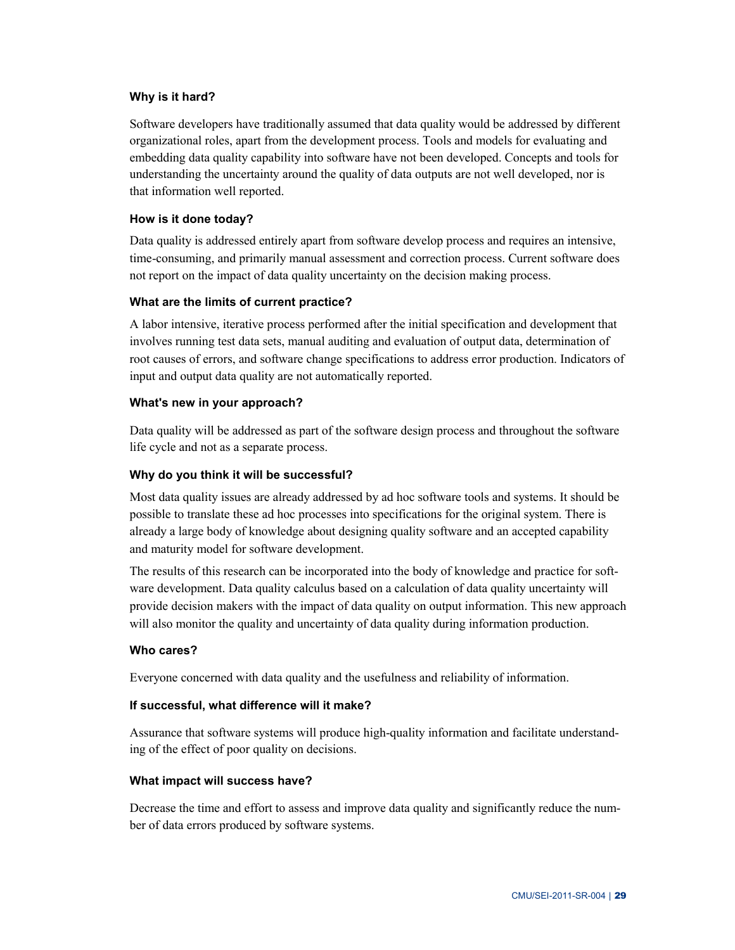#### **Why is it hard?**

Software developers have traditionally assumed that data quality would be addressed by different organizational roles, apart from the development process. Tools and models for evaluating and embedding data quality capability into software have not been developed. Concepts and tools for understanding the uncertainty around the quality of data outputs are not well developed, nor is that information well reported.

#### **How is it done today?**

Data quality is addressed entirely apart from software develop process and requires an intensive, time-consuming, and primarily manual assessment and correction process. Current software does not report on the impact of data quality uncertainty on the decision making process.

#### **What are the limits of current practice?**

A labor intensive, iterative process performed after the initial specification and development that involves running test data sets, manual auditing and evaluation of output data, determination of root causes of errors, and software change specifications to address error production. Indicators of input and output data quality are not automatically reported.

#### **What's new in your approach?**

Data quality will be addressed as part of the software design process and throughout the software life cycle and not as a separate process.

#### **Why do you think it will be successful?**

Most data quality issues are already addressed by ad hoc software tools and systems. It should be possible to translate these ad hoc processes into specifications for the original system. There is already a large body of knowledge about designing quality software and an accepted capability and maturity model for software development.

The results of this research can be incorporated into the body of knowledge and practice for software development. Data quality calculus based on a calculation of data quality uncertainty will provide decision makers with the impact of data quality on output information. This new approach will also monitor the quality and uncertainty of data quality during information production.

#### **Who cares?**

Everyone concerned with data quality and the usefulness and reliability of information.

# **If successful, what difference will it make?**

Assurance that software systems will produce high-quality information and facilitate understanding of the effect of poor quality on decisions.

#### **What impact will success have?**

Decrease the time and effort to assess and improve data quality and significantly reduce the number of data errors produced by software systems.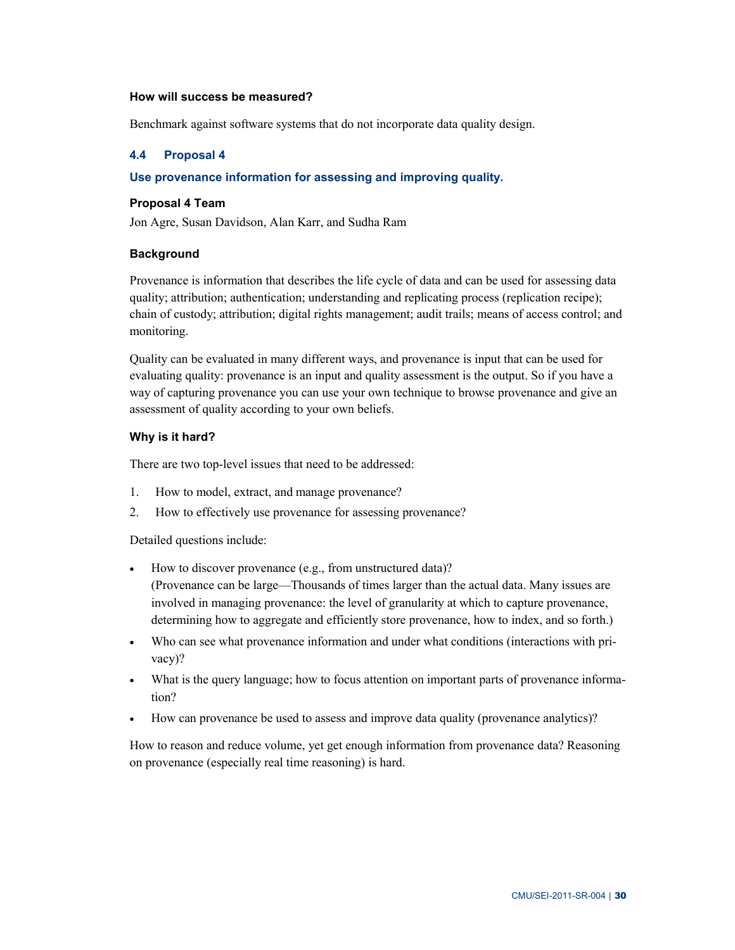#### **How will success be measured?**

Benchmark against software systems that do not incorporate data quality design.

#### **4.4 Proposal 4**

#### **Use provenance information for assessing and improving quality.**

#### **Proposal 4 Team**

Jon Agre, Susan Davidson, Alan Karr, and Sudha Ram

#### **Background**

Provenance is information that describes the life cycle of data and can be used for assessing data quality; attribution; authentication; understanding and replicating process (replication recipe); chain of custody; attribution; digital rights management; audit trails; means of access control; and monitoring.

Quality can be evaluated in many different ways, and provenance is input that can be used for evaluating quality: provenance is an input and quality assessment is the output. So if you have a way of capturing provenance you can use your own technique to browse provenance and give an assessment of quality according to your own beliefs.

#### **Why is it hard?**

There are two top-level issues that need to be addressed:

- 1. How to model, extract, and manage provenance?
- 2. How to effectively use provenance for assessing provenance?

Detailed questions include:

- How to discover provenance (e.g., from unstructured data)? (Provenance can be large—Thousands of times larger than the actual data. Many issues are involved in managing provenance: the level of granularity at which to capture provenance, determining how to aggregate and efficiently store provenance, how to index, and so forth.)
- Who can see what provenance information and under what conditions (interactions with privacy)?
- What is the query language; how to focus attention on important parts of provenance information?
- How can provenance be used to assess and improve data quality (provenance analytics)?

How to reason and reduce volume, yet get enough information from provenance data? Reasoning on provenance (especially real time reasoning) is hard.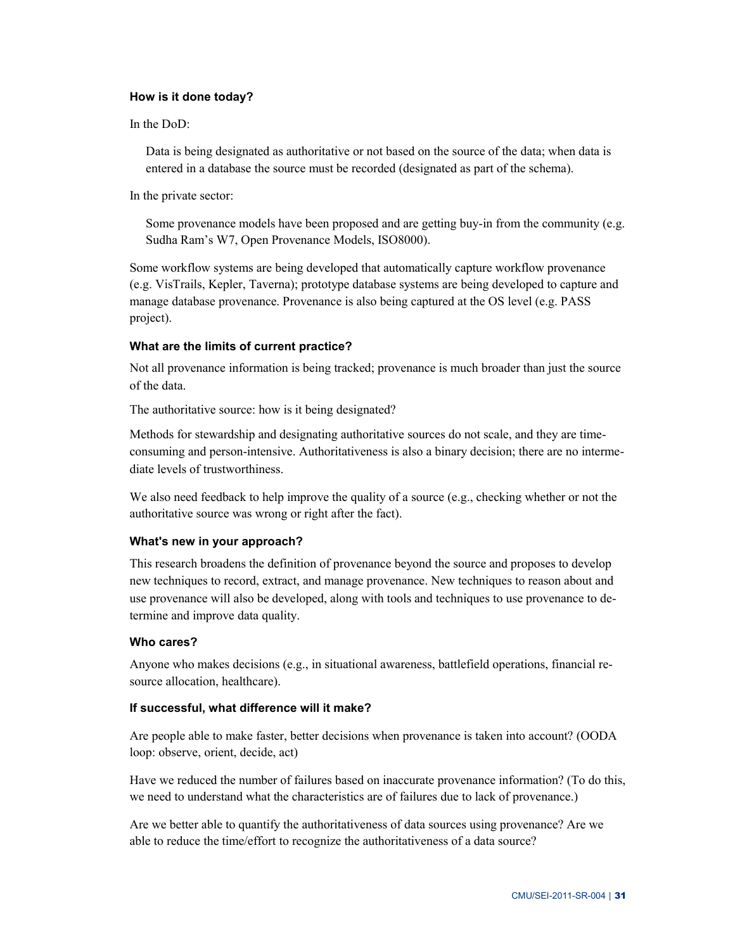#### **How is it done today?**

In the DoD:

Data is being designated as authoritative or not based on the source of the data; when data is entered in a database the source must be recorded (designated as part of the schema).

In the private sector:

Some provenance models have been proposed and are getting buy-in from the community (e.g. Sudha Ram's W7, Open Provenance Models, ISO8000).

Some workflow systems are being developed that automatically capture workflow provenance (e.g. VisTrails, Kepler, Taverna); prototype database systems are being developed to capture and manage database provenance. Provenance is also being captured at the OS level (e.g. PASS project).

#### **What are the limits of current practice?**

Not all provenance information is being tracked; provenance is much broader than just the source of the data.

The authoritative source: how is it being designated?

Methods for stewardship and designating authoritative sources do not scale, and they are timeconsuming and person-intensive. Authoritativeness is also a binary decision; there are no intermediate levels of trustworthiness.

We also need feedback to help improve the quality of a source (e.g., checking whether or not the authoritative source was wrong or right after the fact).

#### **What's new in your approach?**

This research broadens the definition of provenance beyond the source and proposes to develop new techniques to record, extract, and manage provenance. New techniques to reason about and use provenance will also be developed, along with tools and techniques to use provenance to determine and improve data quality.

#### **Who cares?**

Anyone who makes decisions (e.g., in situational awareness, battlefield operations, financial resource allocation, healthcare).

#### **If successful, what difference will it make?**

Are people able to make faster, better decisions when provenance is taken into account? (OODA loop: observe, orient, decide, act)

Have we reduced the number of failures based on inaccurate provenance information? (To do this, we need to understand what the characteristics are of failures due to lack of provenance.)

Are we better able to quantify the authoritativeness of data sources using provenance? Are we able to reduce the time/effort to recognize the authoritativeness of a data source?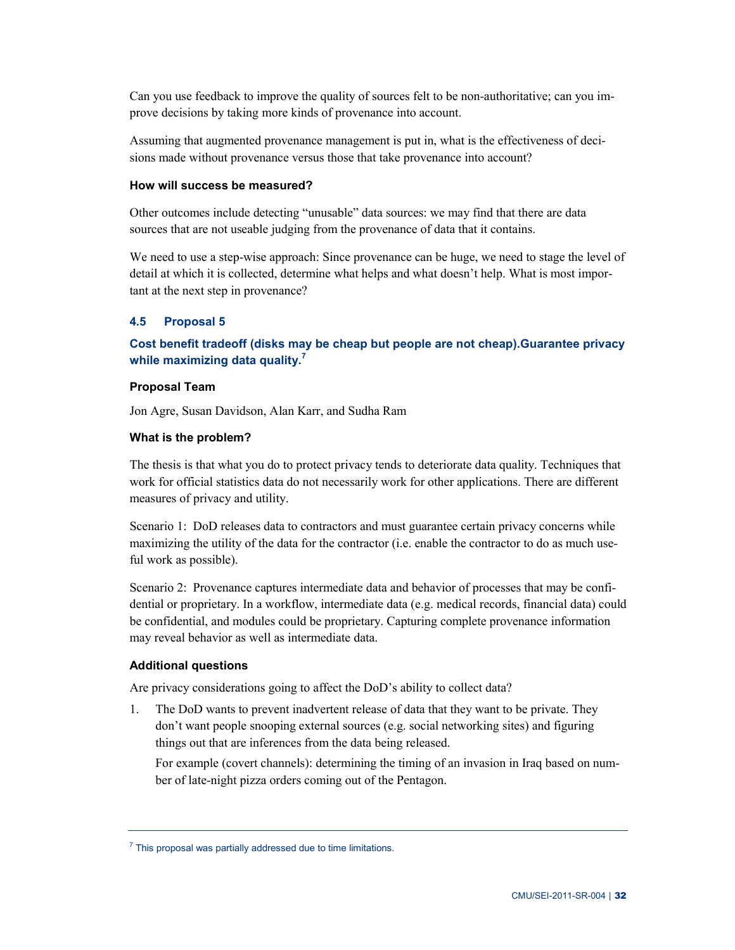Can you use feedback to improve the quality of sources felt to be non-authoritative; can you improve decisions by taking more kinds of provenance into account.

Assuming that augmented provenance management is put in, what is the effectiveness of decisions made without provenance versus those that take provenance into account?

#### **How will success be measured?**

Other outcomes include detecting "unusable" data sources: we may find that there are data sources that are not useable judging from the provenance of data that it contains.

We need to use a step-wise approach: Since provenance can be huge, we need to stage the level of detail at which it is collected, determine what helps and what doesn't help. What is most important at the next step in provenance?

#### **4.5 Proposal 5**

**Cost benefit tradeoff (disks may be cheap but people are not cheap).Guarantee privacy while maximizing data quality.<sup>7</sup>**

#### **Proposal Team**

Jon Agre, Susan Davidson, Alan Karr, and Sudha Ram

#### **What is the problem?**

The thesis is that what you do to protect privacy tends to deteriorate data quality. Techniques that work for official statistics data do not necessarily work for other applications. There are different measures of privacy and utility.

Scenario 1: DoD releases data to contractors and must guarantee certain privacy concerns while maximizing the utility of the data for the contractor (i.e. enable the contractor to do as much useful work as possible).

Scenario 2: Provenance captures intermediate data and behavior of processes that may be confidential or proprietary. In a workflow, intermediate data (e.g. medical records, financial data) could be confidential, and modules could be proprietary. Capturing complete provenance information may reveal behavior as well as intermediate data.

#### **Additional questions**

Are privacy considerations going to affect the DoD's ability to collect data?

1. The DoD wants to prevent inadvertent release of data that they want to be private. They don't want people snooping external sources (e.g. social networking sites) and figuring things out that are inferences from the data being released.

For example (covert channels): determining the timing of an invasion in Iraq based on number of late-night pizza orders coming out of the Pentagon.

 $7$  This proposal was partially addressed due to time limitations.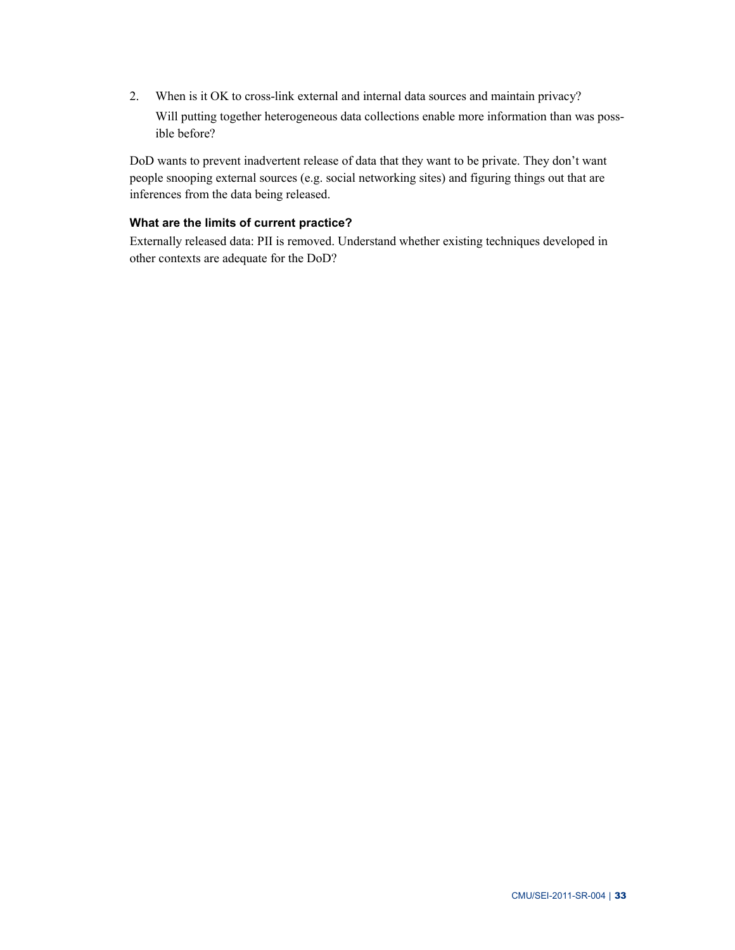2. When is it OK to cross-link external and internal data sources and maintain privacy? Will putting together heterogeneous data collections enable more information than was possible before?

DoD wants to prevent inadvertent release of data that they want to be private. They don't want people snooping external sources (e.g. social networking sites) and figuring things out that are inferences from the data being released.

# **What are the limits of current practice?**

Externally released data: PII is removed. Understand whether existing techniques developed in other contexts are adequate for the DoD?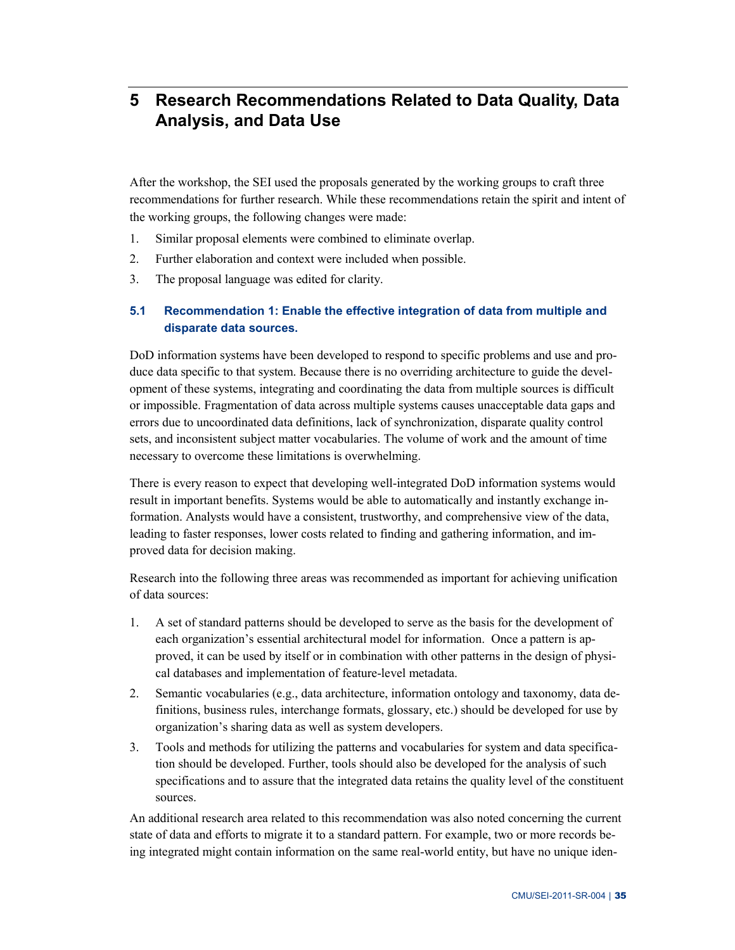# **5 Research Recommendations Related to Data Quality, Data Analysis, and Data Use**

After the workshop, the SEI used the proposals generated by the working groups to craft three recommendations for further research. While these recommendations retain the spirit and intent of the working groups, the following changes were made:

- 1. Similar proposal elements were combined to eliminate overlap.
- 2. Further elaboration and context were included when possible.
- 3. The proposal language was edited for clarity.

# **5.1 Recommendation 1: Enable the effective integration of data from multiple and disparate data sources.**

DoD information systems have been developed to respond to specific problems and use and produce data specific to that system. Because there is no overriding architecture to guide the development of these systems, integrating and coordinating the data from multiple sources is difficult or impossible. Fragmentation of data across multiple systems causes unacceptable data gaps and errors due to uncoordinated data definitions, lack of synchronization, disparate quality control sets, and inconsistent subject matter vocabularies. The volume of work and the amount of time necessary to overcome these limitations is overwhelming.

There is every reason to expect that developing well-integrated DoD information systems would result in important benefits. Systems would be able to automatically and instantly exchange information. Analysts would have a consistent, trustworthy, and comprehensive view of the data, leading to faster responses, lower costs related to finding and gathering information, and improved data for decision making.

Research into the following three areas was recommended as important for achieving unification of data sources:

- 1. A set of standard patterns should be developed to serve as the basis for the development of each organization's essential architectural model for information. Once a pattern is approved, it can be used by itself or in combination with other patterns in the design of physical databases and implementation of feature-level metadata.
- 2. Semantic vocabularies (e.g., data architecture, information ontology and taxonomy, data definitions, business rules, interchange formats, glossary, etc.) should be developed for use by organization's sharing data as well as system developers.
- 3. Tools and methods for utilizing the patterns and vocabularies for system and data specification should be developed. Further, tools should also be developed for the analysis of such specifications and to assure that the integrated data retains the quality level of the constituent sources.

An additional research area related to this recommendation was also noted concerning the current state of data and efforts to migrate it to a standard pattern. For example, two or more records being integrated might contain information on the same real-world entity, but have no unique iden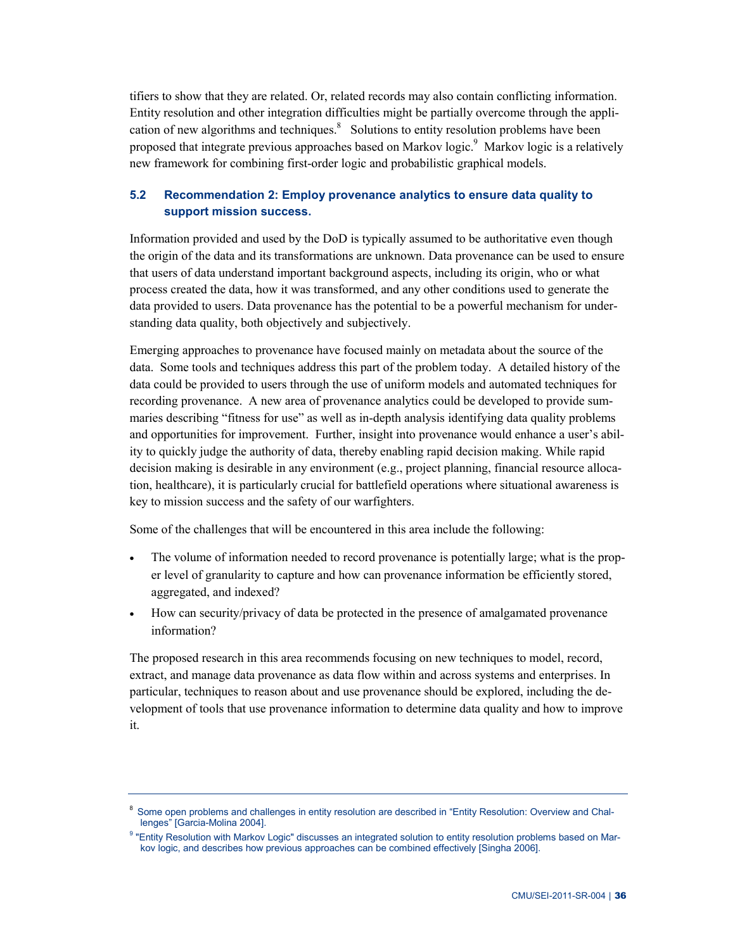tifiers to show that they are related. Or, related records may also contain conflicting information. Entity resolution and other integration difficulties might be partially overcome through the application of new algorithms and techniques. $8$  Solutions to entity resolution problems have been proposed that integrate previous approaches based on Markov logic.<sup>9</sup> Markov logic is a relatively new framework for combining first-order logic and probabilistic graphical models.

# **5.2 Recommendation 2: Employ provenance analytics to ensure data quality to support mission success.**

Information provided and used by the DoD is typically assumed to be authoritative even though the origin of the data and its transformations are unknown. Data provenance can be used to ensure that users of data understand important background aspects, including its origin, who or what process created the data, how it was transformed, and any other conditions used to generate the data provided to users. Data provenance has the potential to be a powerful mechanism for understanding data quality, both objectively and subjectively.

Emerging approaches to provenance have focused mainly on metadata about the source of the data. Some tools and techniques address this part of the problem today. A detailed history of the data could be provided to users through the use of uniform models and automated techniques for recording provenance. A new area of provenance analytics could be developed to provide summaries describing "fitness for use" as well as in-depth analysis identifying data quality problems and opportunities for improvement. Further, insight into provenance would enhance a user's ability to quickly judge the authority of data, thereby enabling rapid decision making. While rapid decision making is desirable in any environment (e.g., project planning, financial resource allocation, healthcare), it is particularly crucial for battlefield operations where situational awareness is key to mission success and the safety of our warfighters.

Some of the challenges that will be encountered in this area include the following:

- The volume of information needed to record provenance is potentially large; what is the proper level of granularity to capture and how can provenance information be efficiently stored, aggregated, and indexed?
- How can security/privacy of data be protected in the presence of amalgamated provenance information?

The proposed research in this area recommends focusing on new techniques to model, record, extract, and manage data provenance as data flow within and across systems and enterprises. In particular, techniques to reason about and use provenance should be explored, including the development of tools that use provenance information to determine data quality and how to improve it.

<sup>&</sup>lt;sup>8</sup> Some open problems and challenges in entity resolution are described in "Entity Resolution: Overview and Challenges" [Garcia-Molina 2004].

<sup>&</sup>lt;sup>9</sup> "Entity Resolution with Markov Logic" discusses an integrated solution to entity resolution problems based on Markov logic, and describes how previous approaches can be combined effectively [Singha 2006].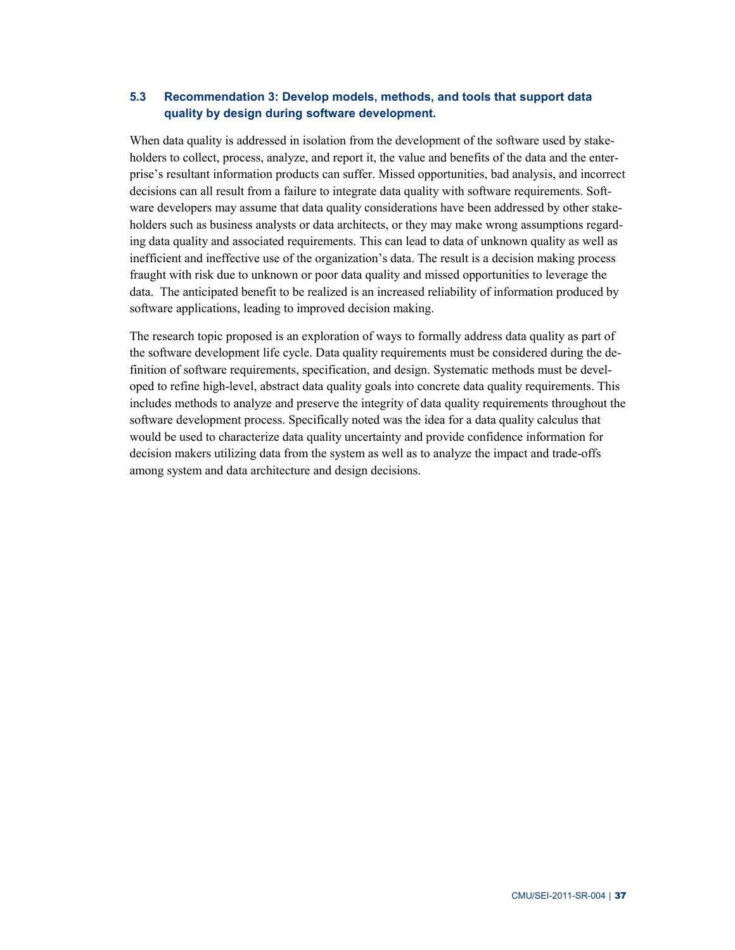# **5.3 Recommendation 3: Develop models, methods, and tools that support data quality by design during software development.**

When data quality is addressed in isolation from the development of the software used by stakeholders to collect, process, analyze, and report it, the value and benefits of the data and the enterprise's resultant information products can suffer. Missed opportunities, bad analysis, and incorrect decisions can all result from a failure to integrate data quality with software requirements. Software developers may assume that data quality considerations have been addressed by other stakeholders such as business analysts or data architects, or they may make wrong assumptions regarding data quality and associated requirements. This can lead to data of unknown quality as well as inefficient and ineffective use of the organization's data. The result is a decision making process fraught with risk due to unknown or poor data quality and missed opportunities to leverage the data. The anticipated benefit to be realized is an increased reliability of information produced by software applications, leading to improved decision making.

The research topic proposed is an exploration of ways to formally address data quality as part of the software development life cycle. Data quality requirements must be considered during the definition of software requirements, specification, and design. Systematic methods must be developed to refine high-level, abstract data quality goals into concrete data quality requirements. This includes methods to analyze and preserve the integrity of data quality requirements throughout the software development process. Specifically noted was the idea for a data quality calculus that would be used to characterize data quality uncertainty and provide confidence information for decision makers utilizing data from the system as well as to analyze the impact and trade-offs among system and data architecture and design decisions.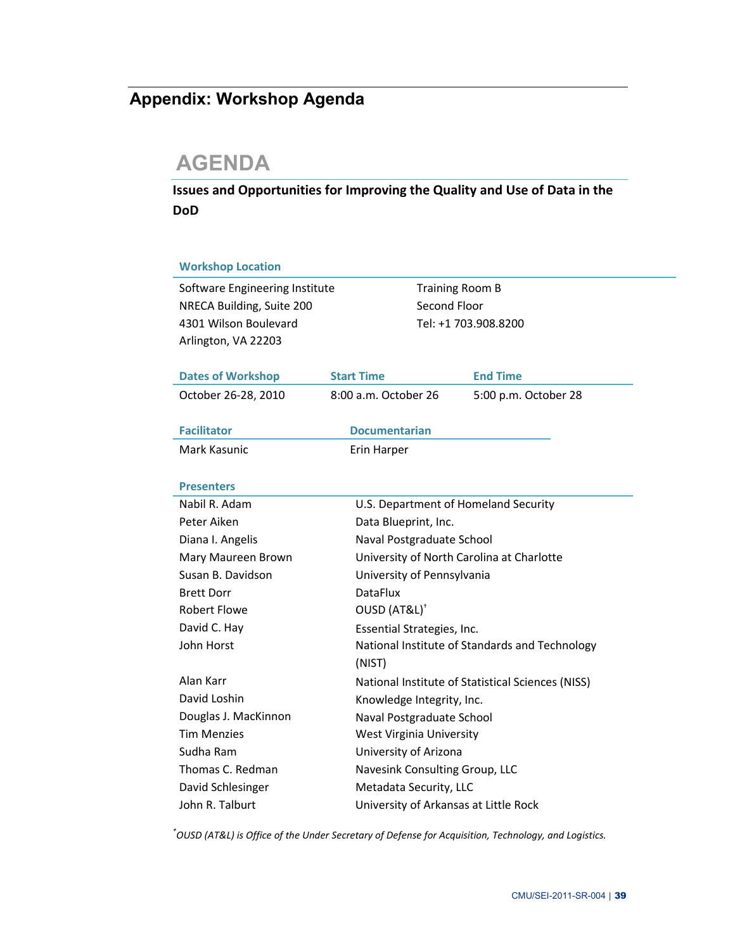# **Appendix: Workshop Agenda**

# **AGENDA**

**Issues and Opportunities for Improving the Quality and Use of Data in the DoD** 

| <b>Workshop Location</b>       |                            |                                                   |  |  |  |  |
|--------------------------------|----------------------------|---------------------------------------------------|--|--|--|--|
| Software Engineering Institute |                            | <b>Training Room B</b>                            |  |  |  |  |
| NRECA Building, Suite 200      |                            | Second Floor                                      |  |  |  |  |
| 4301 Wilson Boulevard          |                            | Tel: +1 703.908.8200                              |  |  |  |  |
| Arlington, VA 22203            |                            |                                                   |  |  |  |  |
|                                |                            |                                                   |  |  |  |  |
| <b>Dates of Workshop</b>       | <b>Start Time</b>          | <b>End Time</b>                                   |  |  |  |  |
| October 26-28, 2010            | 8:00 a.m. October 26       | 5:00 p.m. October 28                              |  |  |  |  |
|                                |                            |                                                   |  |  |  |  |
| <b>Facilitator</b>             | <b>Documentarian</b>       |                                                   |  |  |  |  |
| Mark Kasunic                   | Erin Harper                |                                                   |  |  |  |  |
|                                |                            |                                                   |  |  |  |  |
| <b>Presenters</b>              |                            |                                                   |  |  |  |  |
| Nabil R. Adam                  |                            | U.S. Department of Homeland Security              |  |  |  |  |
| Peter Aiken                    | Data Blueprint, Inc.       |                                                   |  |  |  |  |
| Diana I. Angelis               |                            | Naval Postgraduate School                         |  |  |  |  |
| Mary Maureen Brown             |                            | University of North Carolina at Charlotte         |  |  |  |  |
| Susan B. Davidson              | University of Pennsylvania |                                                   |  |  |  |  |
| <b>Brett Dorr</b>              | <b>DataFlux</b>            |                                                   |  |  |  |  |
| <b>Robert Flowe</b>            | OUSD (AT&L) <sup>+</sup>   |                                                   |  |  |  |  |
| David C. Hay                   | Essential Strategies, Inc. |                                                   |  |  |  |  |
| John Horst                     |                            | National Institute of Standards and Technology    |  |  |  |  |
|                                | (NIST)                     |                                                   |  |  |  |  |
| Alan Karr                      |                            | National Institute of Statistical Sciences (NISS) |  |  |  |  |
| David Loshin                   | Knowledge Integrity, Inc.  |                                                   |  |  |  |  |
| Douglas J. MacKinnon           |                            | Naval Postgraduate School                         |  |  |  |  |
| <b>Tim Menzies</b>             | West Virginia University   |                                                   |  |  |  |  |
| Sudha Ram                      | University of Arizona      |                                                   |  |  |  |  |
| Thomas C. Redman               |                            | Navesink Consulting Group, LLC                    |  |  |  |  |
| David Schlesinger              | Metadata Security, LLC     |                                                   |  |  |  |  |
| John R. Talburt                |                            | University of Arkansas at Little Rock             |  |  |  |  |

*\* OUSD (AT&L) is Office of the Under Secretary of Defense for Acquisition, Technology, and Logistics.*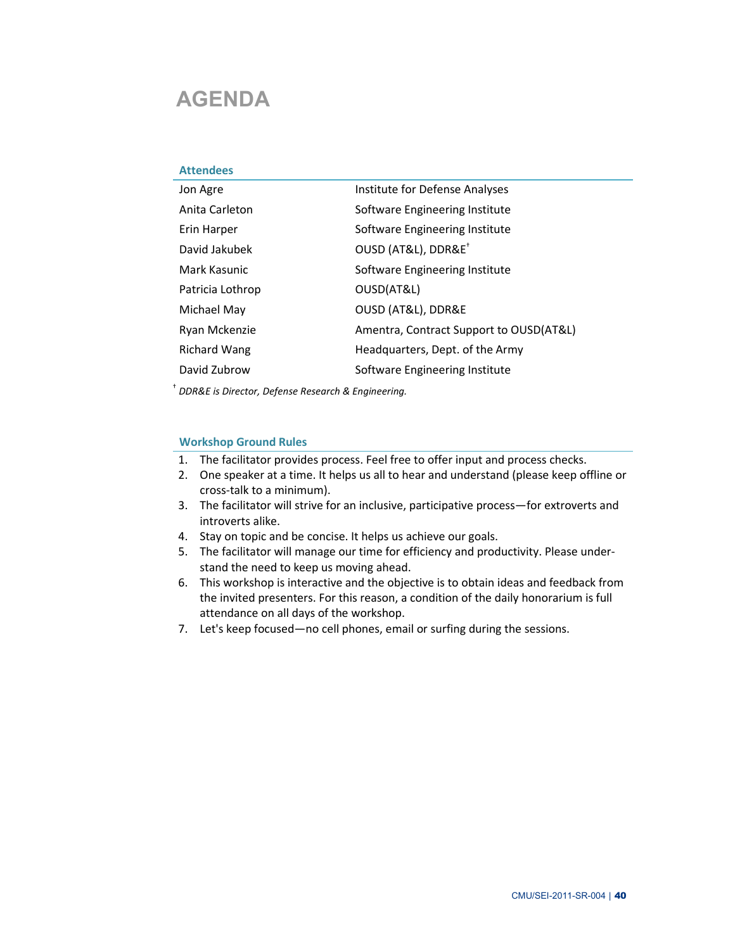# **AGENDA**

#### **Attendees**

| Jon Agre         | Institute for Defense Analyses          |  |  |
|------------------|-----------------------------------------|--|--|
| Anita Carleton   | Software Engineering Institute          |  |  |
| Erin Harper      | Software Engineering Institute          |  |  |
| David Jakubek    | OUSD (AT&L), DDR&E <sup>+</sup>         |  |  |
| Mark Kasunic     | Software Engineering Institute          |  |  |
| Patricia Lothrop | OUSD(AT&L)                              |  |  |
| Michael May      | OUSD (AT&L), DDR&E                      |  |  |
| Ryan Mckenzie    | Amentra, Contract Support to OUSD(AT&L) |  |  |
| Richard Wang     | Headquarters, Dept. of the Army         |  |  |
| David Zubrow     | Software Engineering Institute          |  |  |

†  *DDR&E is Director, Defense Research & Engineering.* 

#### **Workshop Ground Rules**

- 1. The facilitator provides process. Feel free to offer input and process checks.
- 2. One speaker at a time. It helps us all to hear and understand (please keep offline or cross-talk to a minimum).
- 3. The facilitator will strive for an inclusive, participative process—for extroverts and introverts alike.
- 4. Stay on topic and be concise. It helps us achieve our goals.
- 5. The facilitator will manage our time for efficiency and productivity. Please understand the need to keep us moving ahead.
- 6. This workshop is interactive and the objective is to obtain ideas and feedback from the invited presenters. For this reason, a condition of the daily honorarium is full attendance on all days of the workshop.
- 7. Let's keep focused—no cell phones, email or surfing during the sessions.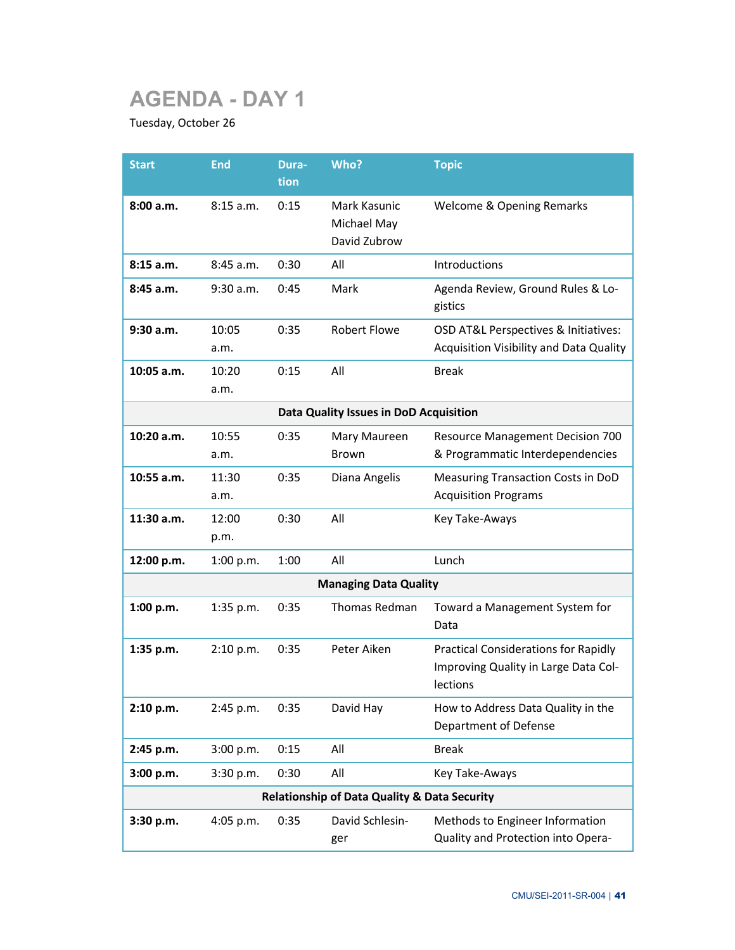# **AGENDA - DAY 1**

Tuesday, October 26

| <b>Start</b> | <b>End</b>    | Dura-<br>tion | Who?                                                    | <b>Topic</b>                                                                                           |  |
|--------------|---------------|---------------|---------------------------------------------------------|--------------------------------------------------------------------------------------------------------|--|
| 8:00a.m.     | 8:15 a.m.     | 0:15          | Mark Kasunic<br>Michael May<br>David Zubrow             | <b>Welcome &amp; Opening Remarks</b>                                                                   |  |
| 8:15 a.m.    | 8:45 a.m.     | 0:30          | All                                                     | Introductions                                                                                          |  |
| 8:45 a.m.    | 9:30 a.m.     | 0:45          | Mark                                                    | Agenda Review, Ground Rules & Lo-<br>gistics                                                           |  |
| 9:30a.m.     | 10:05<br>a.m. | 0:35          | <b>Robert Flowe</b>                                     | OSD AT&L Perspectives & Initiatives:<br>Acquisition Visibility and Data Quality                        |  |
| $10:05$ a.m. | 10:20<br>a.m. | 0:15          | All                                                     | <b>Break</b>                                                                                           |  |
|              |               |               | Data Quality Issues in DoD Acquisition                  |                                                                                                        |  |
| 10:20 a.m.   | 10:55<br>a.m. | 0:35          | Mary Maureen<br>Brown                                   | <b>Resource Management Decision 700</b><br>& Programmatic Interdependencies                            |  |
| $10:55$ a.m. | 11:30<br>a.m. | 0:35          | Diana Angelis                                           | Measuring Transaction Costs in DoD<br><b>Acquisition Programs</b>                                      |  |
| 11:30 a.m.   | 12:00<br>p.m. | 0:30          | All                                                     | Key Take-Aways                                                                                         |  |
| 12:00 p.m.   | 1:00 p.m.     | 1:00          | All                                                     | Lunch                                                                                                  |  |
|              |               |               | <b>Managing Data Quality</b>                            |                                                                                                        |  |
| 1:00 p.m.    | $1:35$ p.m.   | 0:35          | Thomas Redman                                           | Toward a Management System for<br>Data                                                                 |  |
| 1:35 p.m.    | 2:10 p.m.     | 0:35          | Peter Aiken                                             | <b>Practical Considerations for Rapidly</b><br>Improving Quality in Large Data Col-<br><b>lections</b> |  |
| 2:10 p.m.    | 2:45 p.m.     | 0:35          | David Hay                                               | How to Address Data Quality in the<br>Department of Defense                                            |  |
| 2:45 p.m.    | 3:00 p.m.     | 0:15          | All                                                     | <b>Break</b>                                                                                           |  |
| 3:00 p.m.    | 3:30 p.m.     | 0:30          | All                                                     | Key Take-Aways                                                                                         |  |
|              |               |               | <b>Relationship of Data Quality &amp; Data Security</b> |                                                                                                        |  |
| 3:30 p.m.    | 4:05 p.m.     | 0:35          | David Schlesin-<br>ger                                  | Methods to Engineer Information<br>Quality and Protection into Opera-                                  |  |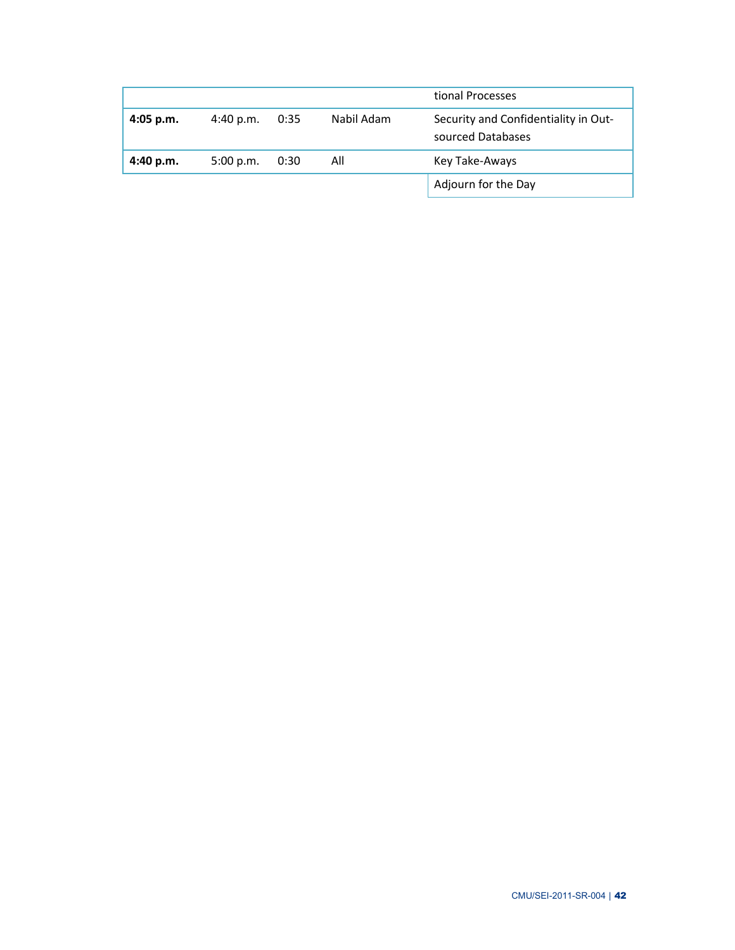|           |           |      |            | tional Processes                                          |
|-----------|-----------|------|------------|-----------------------------------------------------------|
| 4:05 p.m. | 4:40 p.m. | 0:35 | Nabil Adam | Security and Confidentiality in Out-<br>sourced Databases |
| 4:40 p.m. | 5:00 p.m. | 0:30 | All        | Key Take-Aways                                            |
|           |           |      |            | Adjourn for the Day                                       |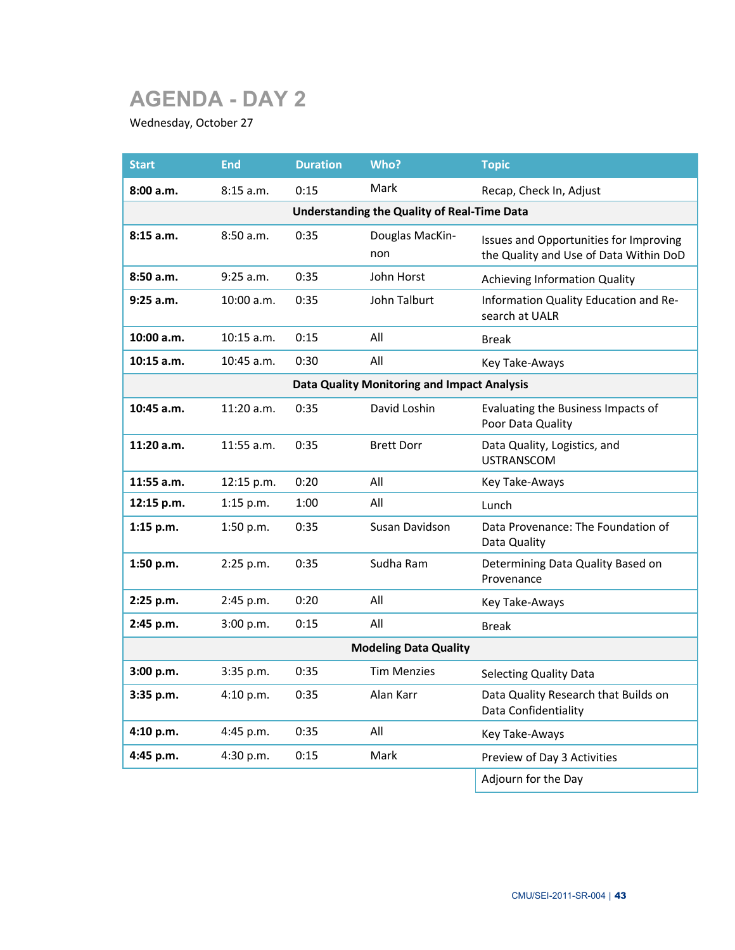# **AGENDA - DAY 2**

# Wednesday, October 27

| <b>Start</b>                                       | <b>End</b>   | <b>Duration</b> | Who?                                               | <b>Topic</b>                                                                     |  |  |  |  |
|----------------------------------------------------|--------------|-----------------|----------------------------------------------------|----------------------------------------------------------------------------------|--|--|--|--|
| 8:00 a.m.                                          | 8:15 a.m.    | 0:15            | Mark                                               | Recap, Check In, Adjust                                                          |  |  |  |  |
| <b>Understanding the Quality of Real-Time Data</b> |              |                 |                                                    |                                                                                  |  |  |  |  |
| 8:15 a.m.                                          | 8:50 a.m.    | 0:35            | Douglas MacKin-<br>non                             | Issues and Opportunities for Improving<br>the Quality and Use of Data Within DoD |  |  |  |  |
| 8:50a.m.                                           | $9:25$ a.m.  | 0:35            | John Horst                                         | Achieving Information Quality                                                    |  |  |  |  |
| 9:25 a.m.                                          | 10:00 a.m.   | 0:35            | John Talburt                                       | Information Quality Education and Re-<br>search at UALR                          |  |  |  |  |
| 10:00 a.m.                                         | $10:15$ a.m. | 0:15            | All                                                | <b>Break</b>                                                                     |  |  |  |  |
| $10:15$ a.m.                                       | $10:45$ a.m. | 0:30            | All                                                | Key Take-Aways                                                                   |  |  |  |  |
|                                                    |              |                 | <b>Data Quality Monitoring and Impact Analysis</b> |                                                                                  |  |  |  |  |
| 10:45 a.m.                                         | $11:20$ a.m. | 0:35            | David Loshin                                       | Evaluating the Business Impacts of<br>Poor Data Quality                          |  |  |  |  |
| 11:20 a.m.                                         | $11:55$ a.m. | 0:35            | <b>Brett Dorr</b>                                  | Data Quality, Logistics, and<br><b>USTRANSCOM</b>                                |  |  |  |  |
| $11:55$ a.m.                                       | 12:15 p.m.   | 0:20            | All                                                | Key Take-Aways                                                                   |  |  |  |  |
| 12:15 p.m.                                         | $1:15$ p.m.  | 1:00            | All                                                | Lunch                                                                            |  |  |  |  |
| 1:15 p.m.                                          | 1:50 p.m.    | 0:35            | Susan Davidson                                     | Data Provenance: The Foundation of<br>Data Quality                               |  |  |  |  |
| 1:50 p.m.                                          | 2:25 p.m.    | 0:35            | Sudha Ram                                          | Determining Data Quality Based on<br>Provenance                                  |  |  |  |  |
| 2:25 p.m.                                          | 2:45 p.m.    | 0:20            | All                                                | Key Take-Aways                                                                   |  |  |  |  |
| 2:45 p.m.                                          | 3:00 p.m.    | 0:15            | All                                                | <b>Break</b>                                                                     |  |  |  |  |
|                                                    |              |                 | <b>Modeling Data Quality</b>                       |                                                                                  |  |  |  |  |
| 3:00 p.m.                                          | $3:35$ p.m.  | 0:35            | <b>Tim Menzies</b>                                 | <b>Selecting Quality Data</b>                                                    |  |  |  |  |
| 3:35 p.m.                                          | 4:10 p.m.    | 0:35            | Alan Karr                                          | Data Quality Research that Builds on<br>Data Confidentiality                     |  |  |  |  |
| 4:10 p.m.                                          | 4:45 p.m.    | 0:35            | All                                                | Key Take-Aways                                                                   |  |  |  |  |
| 4:45 p.m.                                          | 4:30 p.m.    | 0:15            | Mark                                               | Preview of Day 3 Activities                                                      |  |  |  |  |
|                                                    |              |                 |                                                    | Adjourn for the Day                                                              |  |  |  |  |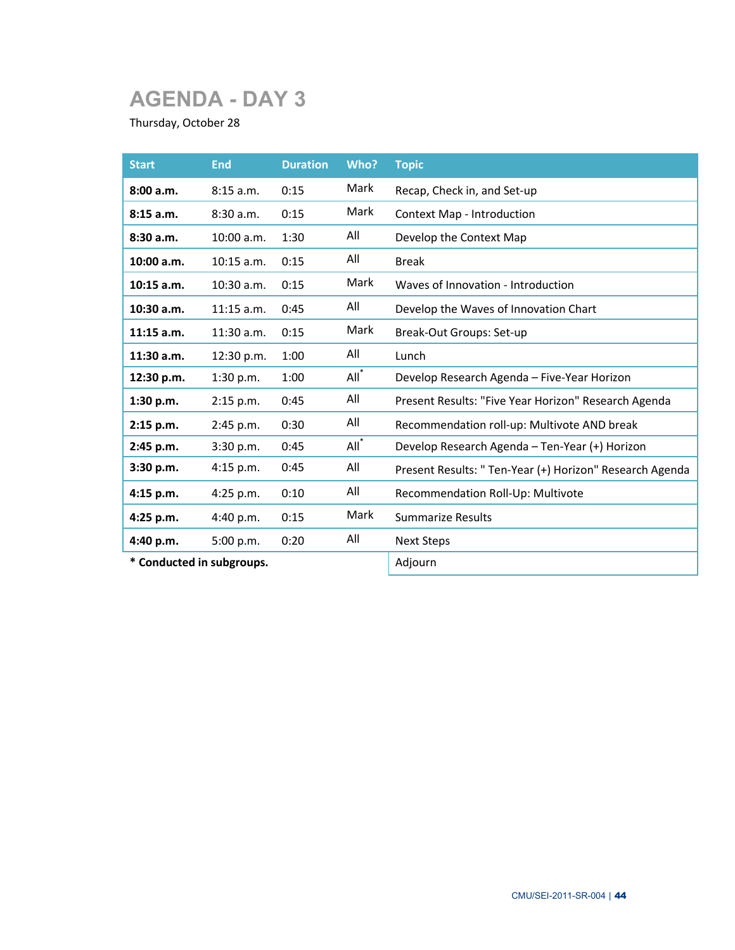# **AGENDA - DAY 3**

Thursday, October 28

| <b>Start</b>              | <b>End</b>   | <b>Duration</b> | Who?    | <b>Topic</b>                                             |
|---------------------------|--------------|-----------------|---------|----------------------------------------------------------|
| 8:00 a.m.                 | 8:15 a.m.    | 0:15            | Mark    | Recap, Check in, and Set-up                              |
| 8:15a.m.                  | 8:30a.m.     | 0:15            | Mark    | Context Map - Introduction                               |
| 8:30a.m.                  | $10:00$ a.m. | 1:30            | All     | Develop the Context Map                                  |
| 10:00 a.m.                | $10:15$ a.m. | 0:15            | All     | <b>Break</b>                                             |
| $10:15$ a.m.              | $10:30$ a.m. | 0:15            | Mark    | Waves of Innovation - Introduction                       |
| 10:30 a.m.                | $11:15$ a.m. | 0:45            | All     | Develop the Waves of Innovation Chart                    |
| $11:15$ a.m.              | $11:30$ a.m. | 0:15            | Mark    | Break-Out Groups: Set-up                                 |
| 11:30 a.m.                | 12:30 p.m.   | 1:00            | All     | Lunch                                                    |
| 12:30 p.m.                | 1:30 p.m.    | 1:00            | $All^*$ | Develop Research Agenda - Five-Year Horizon              |
| 1:30 p.m.                 | $2:15$ p.m.  | 0:45            | All     | Present Results: "Five Year Horizon" Research Agenda     |
| 2:15 p.m.                 | 2:45 p.m.    | 0:30            | All     | Recommendation roll-up: Multivote AND break              |
| 2:45 p.m.                 | 3:30 p.m.    | 0:45            | $All^*$ | Develop Research Agenda - Ten-Year (+) Horizon           |
| 3:30 p.m.                 | $4:15$ p.m.  | 0:45            | All     | Present Results: " Ten-Year (+) Horizon" Research Agenda |
| 4:15 p.m.                 | 4:25 p.m.    | 0:10            | All     | Recommendation Roll-Up: Multivote                        |
| $4:25$ p.m.               | 4:40 p.m.    | 0:15            | Mark    | <b>Summarize Results</b>                                 |
| 4:40 p.m.                 | 5:00 p.m.    | 0:20            | All     | <b>Next Steps</b>                                        |
| * Conducted in subgroups. |              |                 |         | Adjourn                                                  |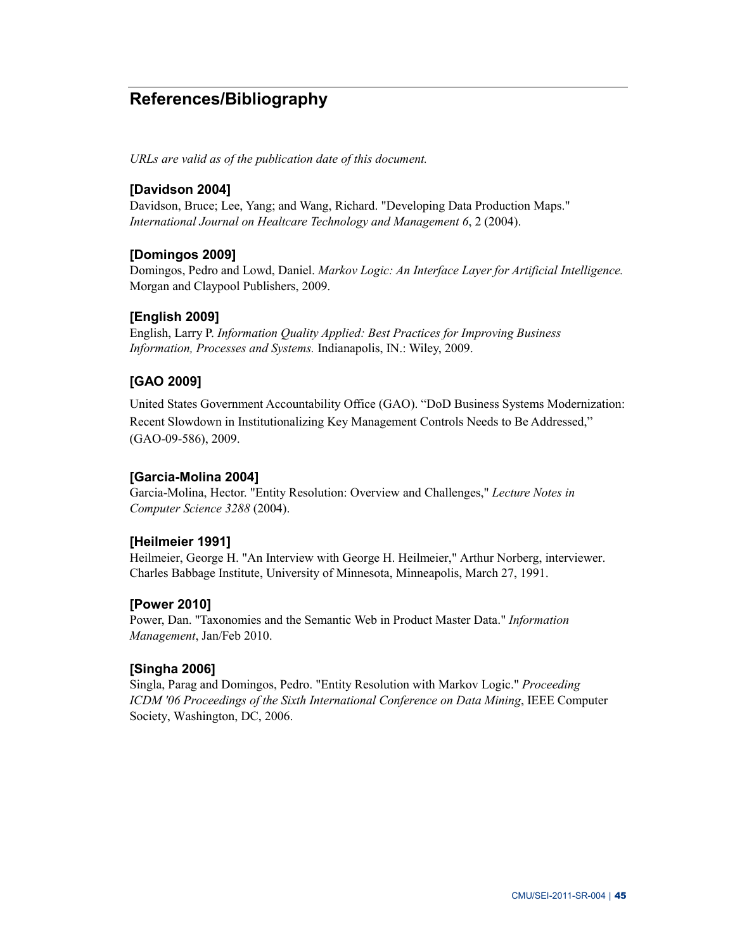# **References/Bibliography**

*URLs are valid as of the publication date of this document.* 

# **[Davidson 2004]**

Davidson, Bruce; Lee, Yang; and Wang, Richard. "Developing Data Production Maps." *International Journal on Healtcare Technology and Management 6*, 2 (2004).

# **[Domingos 2009]**

Domingos, Pedro and Lowd, Daniel. *Markov Logic: An Interface Layer for Artificial Intelligence.* Morgan and Claypool Publishers, 2009.

# **[English 2009]**

English, Larry P. *Information Quality Applied: Best Practices for Improving Business Information, Processes and Systems.* Indianapolis, IN.: Wiley, 2009.

# **[GAO 2009]**

United States Government Accountability Office (GAO). "DoD Business Systems Modernization: Recent Slowdown in Institutionalizing Key Management Controls Needs to Be Addressed," (GAO-09-586), 2009.

#### **[Garcia-Molina 2004]**

Garcia-Molina, Hector. "Entity Resolution: Overview and Challenges," *Lecture Notes in Computer Science 3288* (2004).

# **[Heilmeier 1991]**

Heilmeier, George H. "An Interview with George H. Heilmeier," Arthur Norberg, interviewer. Charles Babbage Institute, University of Minnesota, Minneapolis, March 27, 1991.

# **[Power 2010]**

Power, Dan. "Taxonomies and the Semantic Web in Product Master Data." *Information Management*, Jan/Feb 2010.

# **[Singha 2006]**

Singla, Parag and Domingos, Pedro. "Entity Resolution with Markov Logic." *Proceeding ICDM '06 Proceedings of the Sixth International Conference on Data Mining*, IEEE Computer Society, Washington, DC, 2006.